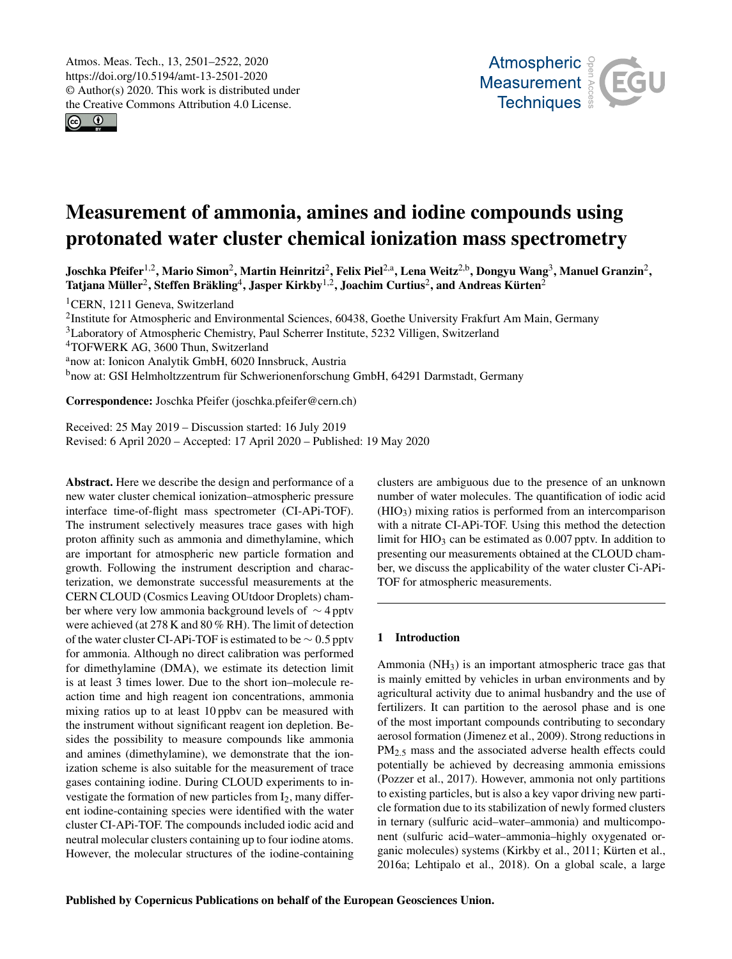$\odot$   $\odot$ 



# Measurement of ammonia, amines and iodine compounds using protonated water cluster chemical ionization mass spectrometry

Joschka Pfeifer<sup>[1,2](#page-0-0)</sup>, Mario Simon<sup>[2](#page-0-0)</sup>, Martin Heinritzi<sup>2</sup>, Felix Piel<sup>[2,a](#page-0-0)</sup>, Lena Weitz<sup>[2,b](#page-0-0)</sup>, Dongyu Wang<sup>[3](#page-0-0)</sup>, Manuel Granzin<sup>2</sup>, Tatjana Müller $^2$  $^2$ , Steffen Bräkling $^4$  $^4$ , Jasper Kirkby $^{1,2}$  $^{1,2}$  $^{1,2}$ , Joachim Curtius $^2$ , and Andreas Kürten $^2$ 

<sup>1</sup>CERN, 1211 Geneva, Switzerland

<sup>2</sup>Institute for Atmospheric and Environmental Sciences, 60438, Goethe University Frakfurt Am Main, Germany <sup>3</sup>Laboratory of Atmospheric Chemistry, Paul Scherrer Institute, 5232 Villigen, Switzerland <sup>4</sup>TOFWERK AG, 3600 Thun, Switzerland <sup>a</sup>now at: Ionicon Analytik GmbH, 6020 Innsbruck, Austria

<sup>b</sup>now at: GSI Helmholtzzentrum für Schwerionenforschung GmbH, 64291 Darmstadt, Germany

Correspondence: Joschka Pfeifer (joschka.pfeifer@cern.ch)

Received: 25 May 2019 – Discussion started: 16 July 2019 Revised: 6 April 2020 – Accepted: 17 April 2020 – Published: 19 May 2020

<span id="page-0-0"></span>Abstract. Here we describe the design and performance of a new water cluster chemical ionization–atmospheric pressure interface time-of-flight mass spectrometer (CI-APi-TOF). The instrument selectively measures trace gases with high proton affinity such as ammonia and dimethylamine, which are important for atmospheric new particle formation and growth. Following the instrument description and characterization, we demonstrate successful measurements at the CERN CLOUD (Cosmics Leaving OUtdoor Droplets) chamber where very low ammonia background levels of ∼ 4 pptv were achieved (at 278 K and 80 % RH). The limit of detection of the water cluster CI-APi-TOF is estimated to be  $\sim 0.5$  pptv for ammonia. Although no direct calibration was performed for dimethylamine (DMA), we estimate its detection limit is at least 3 times lower. Due to the short ion–molecule reaction time and high reagent ion concentrations, ammonia mixing ratios up to at least 10 ppbv can be measured with the instrument without significant reagent ion depletion. Besides the possibility to measure compounds like ammonia and amines (dimethylamine), we demonstrate that the ionization scheme is also suitable for the measurement of trace gases containing iodine. During CLOUD experiments to investigate the formation of new particles from  $I_2$ , many different iodine-containing species were identified with the water cluster CI-APi-TOF. The compounds included iodic acid and neutral molecular clusters containing up to four iodine atoms. However, the molecular structures of the iodine-containing

clusters are ambiguous due to the presence of an unknown number of water molecules. The quantification of iodic acid (HIO3) mixing ratios is performed from an intercomparison with a nitrate CI-APi-TOF. Using this method the detection limit for  $HIO<sub>3</sub>$  can be estimated as 0.007 pptv. In addition to presenting our measurements obtained at the CLOUD chamber, we discuss the applicability of the water cluster Ci-APi-TOF for atmospheric measurements.

# 1 Introduction

Ammonia  $(NH_3)$  is an important atmospheric trace gas that is mainly emitted by vehicles in urban environments and by agricultural activity due to animal husbandry and the use of fertilizers. It can partition to the aerosol phase and is one of the most important compounds contributing to secondary aerosol formation (Jimenez et al., 2009). Strong reductions in PM2.<sup>5</sup> mass and the associated adverse health effects could potentially be achieved by decreasing ammonia emissions (Pozzer et al., 2017). However, ammonia not only partitions to existing particles, but is also a key vapor driving new particle formation due to its stabilization of newly formed clusters in ternary (sulfuric acid–water–ammonia) and multicomponent (sulfuric acid–water–ammonia–highly oxygenated organic molecules) systems (Kirkby et al., 2011; Kürten et al., 2016a; Lehtipalo et al., 2018). On a global scale, a large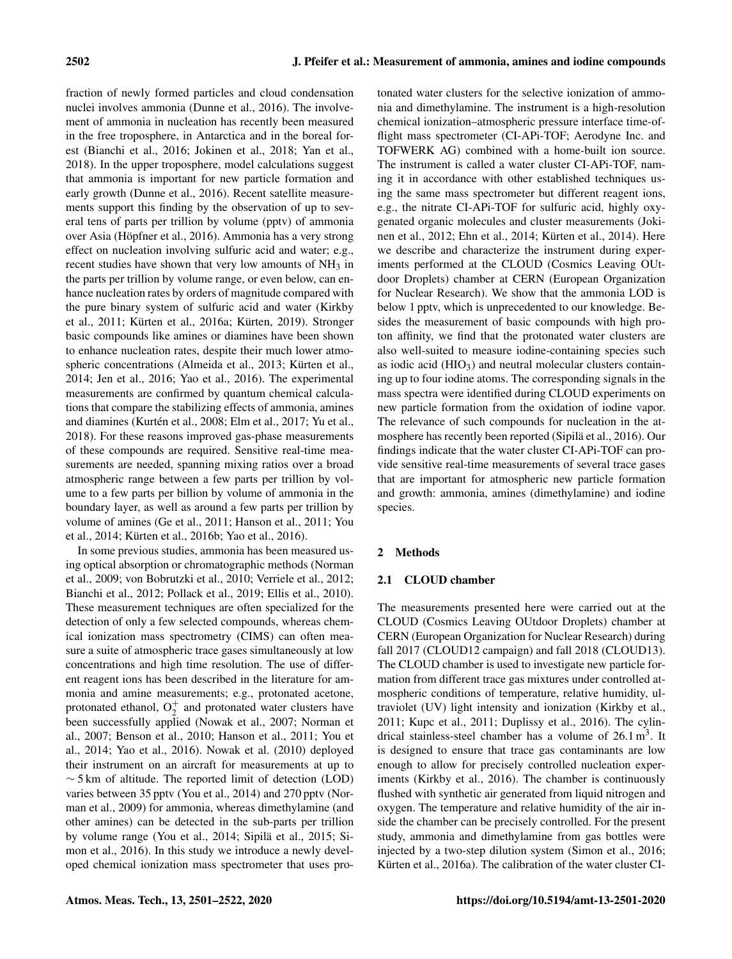fraction of newly formed particles and cloud condensation nuclei involves ammonia (Dunne et al., 2016). The involvement of ammonia in nucleation has recently been measured in the free troposphere, in Antarctica and in the boreal forest (Bianchi et al., 2016; Jokinen et al., 2018; Yan et al., 2018). In the upper troposphere, model calculations suggest that ammonia is important for new particle formation and early growth (Dunne et al., 2016). Recent satellite measurements support this finding by the observation of up to several tens of parts per trillion by volume (pptv) of ammonia over Asia (Höpfner et al., 2016). Ammonia has a very strong effect on nucleation involving sulfuric acid and water; e.g., recent studies have shown that very low amounts of  $NH<sub>3</sub>$  in the parts per trillion by volume range, or even below, can enhance nucleation rates by orders of magnitude compared with the pure binary system of sulfuric acid and water (Kirkby et al., 2011; Kürten et al., 2016a; Kürten, 2019). Stronger basic compounds like amines or diamines have been shown to enhance nucleation rates, despite their much lower atmospheric concentrations (Almeida et al., 2013; Kürten et al., 2014; Jen et al., 2016; Yao et al., 2016). The experimental measurements are confirmed by quantum chemical calculations that compare the stabilizing effects of ammonia, amines and diamines (Kurtén et al., 2008; Elm et al., 2017; Yu et al., 2018). For these reasons improved gas-phase measurements of these compounds are required. Sensitive real-time measurements are needed, spanning mixing ratios over a broad atmospheric range between a few parts per trillion by volume to a few parts per billion by volume of ammonia in the boundary layer, as well as around a few parts per trillion by volume of amines (Ge et al., 2011; Hanson et al., 2011; You et al., 2014; Kürten et al., 2016b; Yao et al., 2016).

In some previous studies, ammonia has been measured using optical absorption or chromatographic methods (Norman et al., 2009; von Bobrutzki et al., 2010; Verriele et al., 2012; Bianchi et al., 2012; Pollack et al., 2019; Ellis et al., 2010). These measurement techniques are often specialized for the detection of only a few selected compounds, whereas chemical ionization mass spectrometry (CIMS) can often measure a suite of atmospheric trace gases simultaneously at low concentrations and high time resolution. The use of different reagent ions has been described in the literature for ammonia and amine measurements; e.g., protonated acetone, protonated ethanol,  $O_2^+$  and protonated water clusters have been successfully applied (Nowak et al., 2007; Norman et al., 2007; Benson et al., 2010; Hanson et al., 2011; You et al., 2014; Yao et al., 2016). Nowak et al. (2010) deployed their instrument on an aircraft for measurements at up to  $\sim$  5 km of altitude. The reported limit of detection (LOD) varies between 35 pptv (You et al., 2014) and 270 pptv (Norman et al., 2009) for ammonia, whereas dimethylamine (and other amines) can be detected in the sub-parts per trillion by volume range (You et al., 2014; Sipilä et al., 2015; Simon et al., 2016). In this study we introduce a newly developed chemical ionization mass spectrometer that uses protonated water clusters for the selective ionization of ammonia and dimethylamine. The instrument is a high-resolution chemical ionization–atmospheric pressure interface time-offlight mass spectrometer (CI-APi-TOF; Aerodyne Inc. and TOFWERK AG) combined with a home-built ion source. The instrument is called a water cluster CI-APi-TOF, naming it in accordance with other established techniques using the same mass spectrometer but different reagent ions, e.g., the nitrate CI-APi-TOF for sulfuric acid, highly oxygenated organic molecules and cluster measurements (Jokinen et al., 2012; Ehn et al., 2014; Kürten et al., 2014). Here we describe and characterize the instrument during experiments performed at the CLOUD (Cosmics Leaving OUtdoor Droplets) chamber at CERN (European Organization for Nuclear Research). We show that the ammonia LOD is below 1 pptv, which is unprecedented to our knowledge. Besides the measurement of basic compounds with high proton affinity, we find that the protonated water clusters are also well-suited to measure iodine-containing species such as iodic acid  $(HIO<sub>3</sub>)$  and neutral molecular clusters containing up to four iodine atoms. The corresponding signals in the mass spectra were identified during CLOUD experiments on new particle formation from the oxidation of iodine vapor. The relevance of such compounds for nucleation in the atmosphere has recently been reported (Sipilä et al., 2016). Our findings indicate that the water cluster CI-APi-TOF can provide sensitive real-time measurements of several trace gases that are important for atmospheric new particle formation and growth: ammonia, amines (dimethylamine) and iodine species.

# 2 Methods

## 2.1 CLOUD chamber

The measurements presented here were carried out at the CLOUD (Cosmics Leaving OUtdoor Droplets) chamber at CERN (European Organization for Nuclear Research) during fall 2017 (CLOUD12 campaign) and fall 2018 (CLOUD13). The CLOUD chamber is used to investigate new particle formation from different trace gas mixtures under controlled atmospheric conditions of temperature, relative humidity, ultraviolet (UV) light intensity and ionization (Kirkby et al., 2011; Kupc et al., 2011; Duplissy et al., 2016). The cylindrical stainless-steel chamber has a volume of  $26.1 \text{ m}^3$ . It is designed to ensure that trace gas contaminants are low enough to allow for precisely controlled nucleation experiments (Kirkby et al., 2016). The chamber is continuously flushed with synthetic air generated from liquid nitrogen and oxygen. The temperature and relative humidity of the air inside the chamber can be precisely controlled. For the present study, ammonia and dimethylamine from gas bottles were injected by a two-step dilution system (Simon et al., 2016; Kürten et al., 2016a). The calibration of the water cluster CI-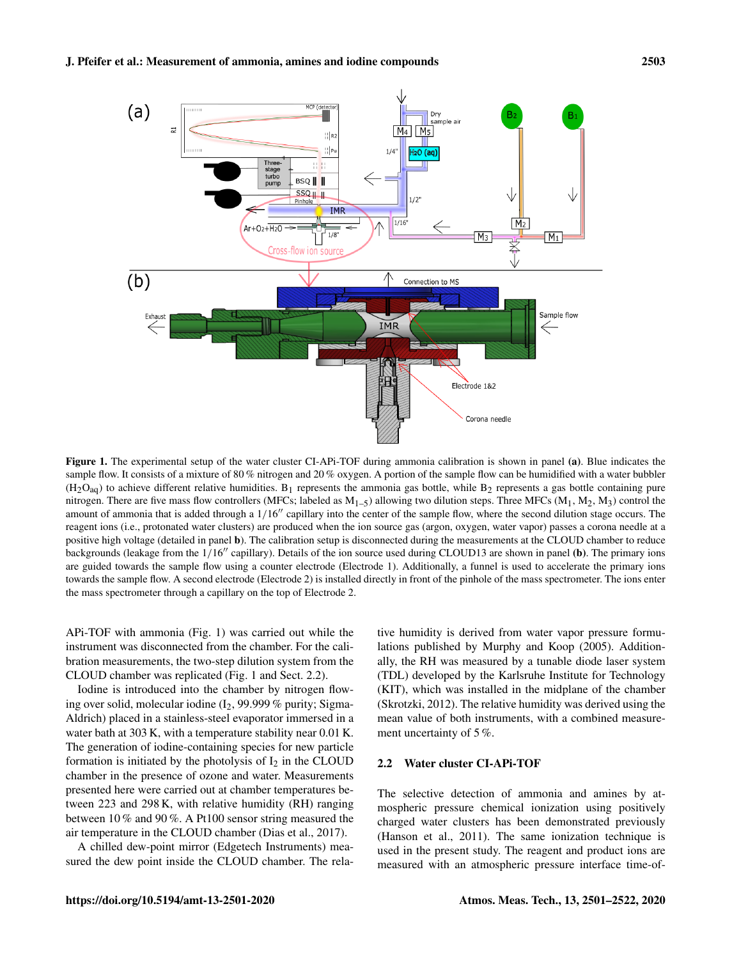

Figure 1. The experimental setup of the water cluster CI-APi-TOF during ammonia calibration is shown in panel (a). Blue indicates the sample flow. It consists of a mixture of 80% nitrogen and 20% oxygen. A portion of the sample flow can be humidified with a water bubbler  $(H_2O_{aq})$  to achieve different relative humidities. B<sub>1</sub> represents the ammonia gas bottle, while B<sub>2</sub> represents a gas bottle containing pure nitrogen. There are five mass flow controllers (MFCs; labeled as  $M_{1-5}$ ) allowing two dilution steps. Three MFCs ( $M_1$ ,  $M_2$ ,  $M_3$ ) control the amount of ammonia that is added through a  $1/16''$  capillary into the center of the sample flow, where the second dilution stage occurs. The reagent ions (i.e., protonated water clusters) are produced when the ion source gas (argon, oxygen, water vapor) passes a corona needle at a positive high voltage (detailed in panel b). The calibration setup is disconnected during the measurements at the CLOUD chamber to reduce backgrounds (leakage from the  $1/16''$  capillary). Details of the ion source used during CLOUD13 are shown in panel (b). The primary ions are guided towards the sample flow using a counter electrode (Electrode 1). Additionally, a funnel is used to accelerate the primary ions towards the sample flow. A second electrode (Electrode 2) is installed directly in front of the pinhole of the mass spectrometer. The ions enter the mass spectrometer through a capillary on the top of Electrode 2.

APi-TOF with ammonia (Fig. 1) was carried out while the instrument was disconnected from the chamber. For the calibration measurements, the two-step dilution system from the CLOUD chamber was replicated (Fig. 1 and Sect. 2.2).

Iodine is introduced into the chamber by nitrogen flowing over solid, molecular iodine  $(I_2, 99.999\%$  purity; Sigma-Aldrich) placed in a stainless-steel evaporator immersed in a water bath at 303 K, with a temperature stability near 0.01 K. The generation of iodine-containing species for new particle formation is initiated by the photolysis of  $I_2$  in the CLOUD chamber in the presence of ozone and water. Measurements presented here were carried out at chamber temperatures between 223 and 298 K, with relative humidity (RH) ranging between 10 % and 90 %. A Pt100 sensor string measured the air temperature in the CLOUD chamber (Dias et al., 2017).

A chilled dew-point mirror (Edgetech Instruments) measured the dew point inside the CLOUD chamber. The relative humidity is derived from water vapor pressure formulations published by Murphy and Koop (2005). Additionally, the RH was measured by a tunable diode laser system (TDL) developed by the Karlsruhe Institute for Technology (KIT), which was installed in the midplane of the chamber (Skrotzki, 2012). The relative humidity was derived using the mean value of both instruments, with a combined measurement uncertainty of 5 %.

### 2.2 Water cluster CI-APi-TOF

The selective detection of ammonia and amines by atmospheric pressure chemical ionization using positively charged water clusters has been demonstrated previously (Hanson et al., 2011). The same ionization technique is used in the present study. The reagent and product ions are measured with an atmospheric pressure interface time-of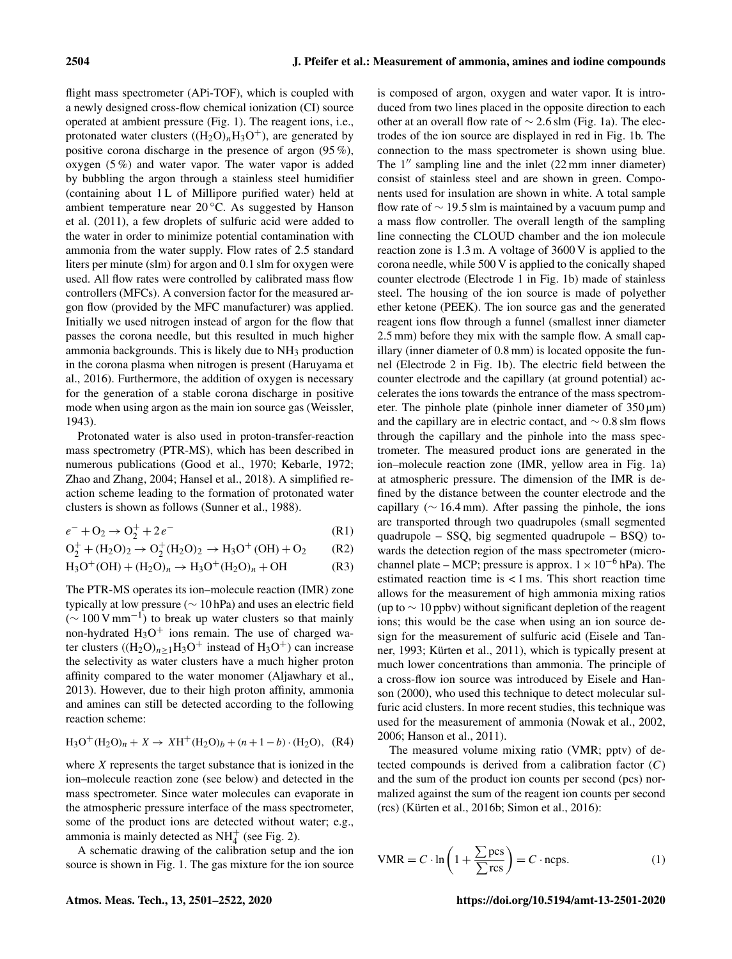flight mass spectrometer (APi-TOF), which is coupled with a newly designed cross-flow chemical ionization (CI) source operated at ambient pressure (Fig. 1). The reagent ions, i.e., protonated water clusters  $((H_2O)_nH_3O^+)$ , are generated by positive corona discharge in the presence of argon (95 %), oxygen (5 %) and water vapor. The water vapor is added by bubbling the argon through a stainless steel humidifier (containing about 1 L of Millipore purified water) held at ambient temperature near 20 ◦C. As suggested by Hanson et al. (2011), a few droplets of sulfuric acid were added to the water in order to minimize potential contamination with ammonia from the water supply. Flow rates of 2.5 standard liters per minute (slm) for argon and 0.1 slm for oxygen were used. All flow rates were controlled by calibrated mass flow controllers (MFCs). A conversion factor for the measured argon flow (provided by the MFC manufacturer) was applied. Initially we used nitrogen instead of argon for the flow that passes the corona needle, but this resulted in much higher ammonia backgrounds. This is likely due to NH<sub>3</sub> production in the corona plasma when nitrogen is present (Haruyama et al., 2016). Furthermore, the addition of oxygen is necessary for the generation of a stable corona discharge in positive mode when using argon as the main ion source gas (Weissler, 1943).

Protonated water is also used in proton-transfer-reaction mass spectrometry (PTR-MS), which has been described in numerous publications (Good et al., 1970; Kebarle, 1972; Zhao and Zhang, 2004; Hansel et al., 2018). A simplified reaction scheme leading to the formation of protonated water clusters is shown as follows (Sunner et al., 1988).

$$
e^- + O_2 \to O_2^+ + 2e^- \tag{R1}
$$

$$
O_2^+ + (H_2O)_2 \to O_2^+(H_2O)_2 \to H_3O^+(OH) + O_2 \qquad (R2)
$$

$$
H_3O^+(OH) + (H_2O)n \rightarrow H_3O^+(H_2O)n + OH
$$
 (R3)

The PTR-MS operates its ion–molecule reaction (IMR) zone typically at low pressure (∼ 10 hPa) and uses an electric field  $($  ~ 100 V mm<sup>-1</sup>) to break up water clusters so that mainly non-hydrated  $H_3O^+$  ions remain. The use of charged water clusters  $((H_2O)_{n\geq 1}H_3O^+$  instead of  $H_3O^+$ ) can increase the selectivity as water clusters have a much higher proton affinity compared to the water monomer (Aljawhary et al., 2013). However, due to their high proton affinity, ammonia and amines can still be detected according to the following reaction scheme:

$$
H_3O^+(H_2O)_n + X \to XH^+(H_2O)_b + (n+1-b) \cdot (H_2O), (R4)
$$

where  $X$  represents the target substance that is ionized in the ion–molecule reaction zone (see below) and detected in the mass spectrometer. Since water molecules can evaporate in the atmospheric pressure interface of the mass spectrometer, some of the product ions are detected without water; e.g., ammonia is mainly detected as  $NH<sub>4</sub><sup>+</sup>$  (see Fig. 2).

A schematic drawing of the calibration setup and the ion source is shown in Fig. 1. The gas mixture for the ion source is composed of argon, oxygen and water vapor. It is introduced from two lines placed in the opposite direction to each other at an overall flow rate of  $\sim$  2.6 slm (Fig. 1a). The electrodes of the ion source are displayed in red in Fig. 1b. The connection to the mass spectrometer is shown using blue. The  $1''$  sampling line and the inlet  $(22 \text{ mm inner diameter})$ consist of stainless steel and are shown in green. Components used for insulation are shown in white. A total sample flow rate of  $\sim$  19.5 slm is maintained by a vacuum pump and a mass flow controller. The overall length of the sampling line connecting the CLOUD chamber and the ion molecule reaction zone is 1.3 m. A voltage of 3600 V is applied to the corona needle, while 500 V is applied to the conically shaped counter electrode (Electrode 1 in Fig. 1b) made of stainless steel. The housing of the ion source is made of polyether ether ketone (PEEK). The ion source gas and the generated reagent ions flow through a funnel (smallest inner diameter 2.5 mm) before they mix with the sample flow. A small capillary (inner diameter of 0.8 mm) is located opposite the funnel (Electrode 2 in Fig. 1b). The electric field between the counter electrode and the capillary (at ground potential) accelerates the ions towards the entrance of the mass spectrometer. The pinhole plate (pinhole inner diameter of  $350 \,\mu m$ ) and the capillary are in electric contact, and ∼ 0.8 slm flows through the capillary and the pinhole into the mass spectrometer. The measured product ions are generated in the ion–molecule reaction zone (IMR, yellow area in Fig. 1a) at atmospheric pressure. The dimension of the IMR is defined by the distance between the counter electrode and the capillary ( $\sim 16.4$  mm). After passing the pinhole, the ions are transported through two quadrupoles (small segmented quadrupole – SSQ, big segmented quadrupole – BSQ) towards the detection region of the mass spectrometer (microchannel plate – MCP; pressure is approx.  $1 \times 10^{-6}$  hPa). The estimated reaction time is < 1 ms. This short reaction time allows for the measurement of high ammonia mixing ratios (up to  $\sim$  10 ppbv) without significant depletion of the reagent ions; this would be the case when using an ion source design for the measurement of sulfuric acid (Eisele and Tanner, 1993; Kürten et al., 2011), which is typically present at much lower concentrations than ammonia. The principle of a cross-flow ion source was introduced by Eisele and Hanson (2000), who used this technique to detect molecular sulfuric acid clusters. In more recent studies, this technique was used for the measurement of ammonia (Nowak et al., 2002, 2006; Hanson et al., 2011).

The measured volume mixing ratio (VMR; pptv) of detected compounds is derived from a calibration factor  $(C)$ and the sum of the product ion counts per second (pcs) normalized against the sum of the reagent ion counts per second (rcs) (Kürten et al., 2016b; Simon et al., 2016):

$$
VMR = C \cdot \ln\left(1 + \frac{\sum \text{pos}}{\sum \text{res}}\right) = C \cdot \text{ncps}.\tag{1}
$$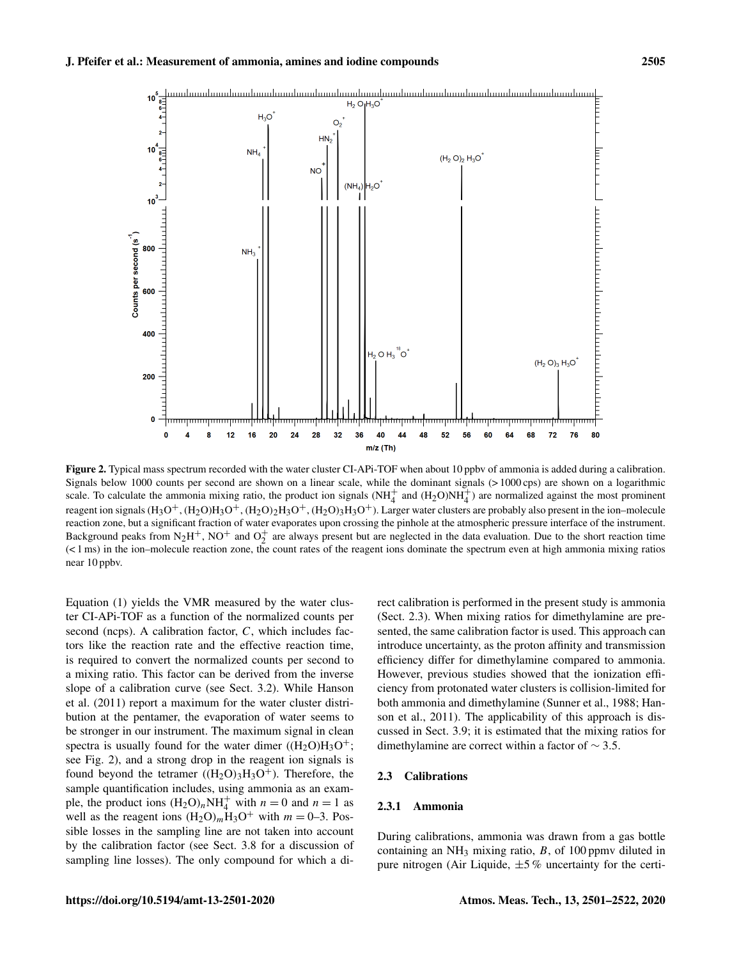

Figure 2. Typical mass spectrum recorded with the water cluster CI-APi-TOF when about 10 ppbv of ammonia is added during a calibration. Signals below 1000 counts per second are shown on a linear scale, while the dominant signals (> 1000 cps) are shown on a logarithmic scale. To calculate the ammonia mixing ratio, the product ion signals  $(NH_4^+$  and  $(H_2O)NH_4^+)$  are normalized against the most prominent reagent ion signals  $(H_3O^+, (H_2O)H_3O^+, (H_2O)_2H_3O^+, (H_2O)_3H_3O^+)$ . Larger water clusters are probably also present in the ion–molecule reaction zone, but a significant fraction of water evaporates upon crossing the pinhole at the atmospheric pressure interface of the instrument. Background peaks from  $N_2H^+$ ,  $NO^+$  and  $O_2^+$  are always present but are neglected in the data evaluation. Due to the short reaction time (< 1 ms) in the ion–molecule reaction zone, the count rates of the reagent ions dominate the spectrum even at high ammonia mixing ratios near 10 ppbv.

Equation (1) yields the VMR measured by the water cluster CI-APi-TOF as a function of the normalized counts per second (ncps). A calibration factor, C, which includes factors like the reaction rate and the effective reaction time, is required to convert the normalized counts per second to a mixing ratio. This factor can be derived from the inverse slope of a calibration curve (see Sect. 3.2). While Hanson et al. (2011) report a maximum for the water cluster distribution at the pentamer, the evaporation of water seems to be stronger in our instrument. The maximum signal in clean spectra is usually found for the water dimer  $((H_2O)H_3O^+;$ see Fig. 2), and a strong drop in the reagent ion signals is found beyond the tetramer  $((H_2O)_3H_3O^+)$ . Therefore, the sample quantification includes, using ammonia as an example, the product ions  $(H_2O)_nNH_4^+$  with  $n=0$  and  $n=1$  as well as the reagent ions  $(H_2O)_mH_3O^+$  with  $m = 0-3$ . Possible losses in the sampling line are not taken into account by the calibration factor (see Sect. 3.8 for a discussion of sampling line losses). The only compound for which a direct calibration is performed in the present study is ammonia (Sect. 2.3). When mixing ratios for dimethylamine are presented, the same calibration factor is used. This approach can introduce uncertainty, as the proton affinity and transmission efficiency differ for dimethylamine compared to ammonia. However, previous studies showed that the ionization efficiency from protonated water clusters is collision-limited for both ammonia and dimethylamine (Sunner et al., 1988; Hanson et al., 2011). The applicability of this approach is discussed in Sect. 3.9; it is estimated that the mixing ratios for dimethylamine are correct within a factor of  $\sim$  3.5.

## 2.3 Calibrations

## 2.3.1 Ammonia

During calibrations, ammonia was drawn from a gas bottle containing an  $NH_3$  mixing ratio,  $B$ , of 100 ppmv diluted in pure nitrogen (Air Liquide,  $\pm 5\%$  uncertainty for the certi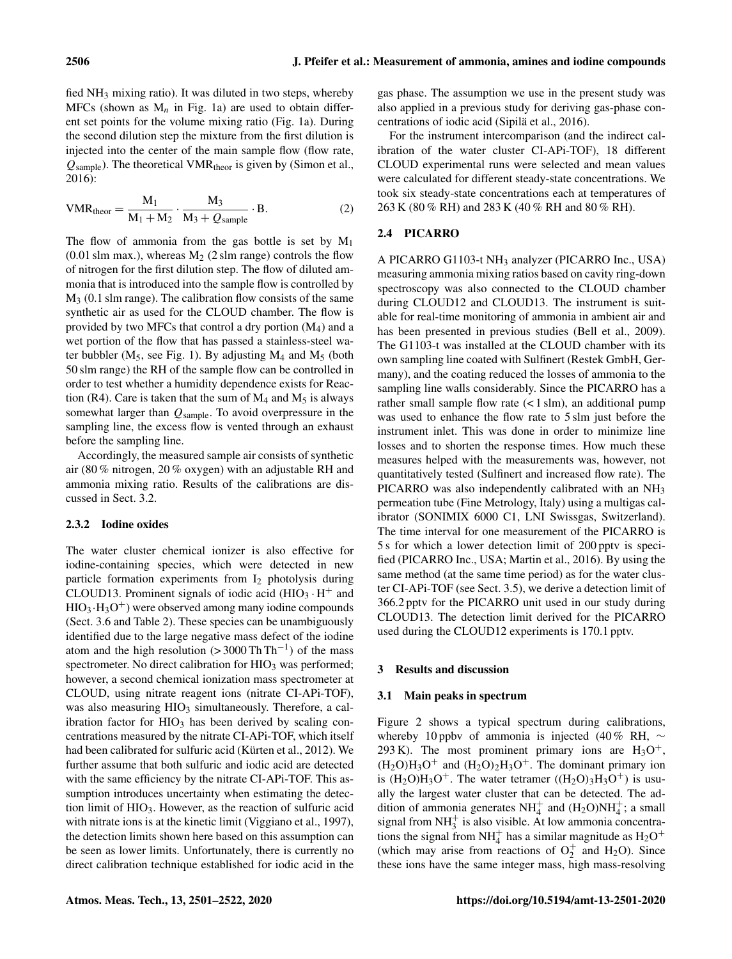fied NH<sup>3</sup> mixing ratio). It was diluted in two steps, whereby MFCs (shown as  $M_n$  in Fig. 1a) are used to obtain different set points for the volume mixing ratio (Fig. 1a). During the second dilution step the mixture from the first dilution is injected into the center of the main sample flow (flow rate,  $Q_{\text{sample}}$ ). The theoretical VMR<sub>theor</sub> is given by (Simon et al., 2016):

$$
VMR_{\text{theor}} = \frac{M_1}{M_1 + M_2} \cdot \frac{M_3}{M_3 + Q_{\text{sample}}} \cdot B. \tag{2}
$$

The flow of ammonia from the gas bottle is set by  $M_1$ (0.01 slm max.), whereas  $M_2$  (2 slm range) controls the flow of nitrogen for the first dilution step. The flow of diluted ammonia that is introduced into the sample flow is controlled by M<sup>3</sup> (0.1 slm range). The calibration flow consists of the same synthetic air as used for the CLOUD chamber. The flow is provided by two MFCs that control a dry portion  $(M_4)$  and a wet portion of the flow that has passed a stainless-steel water bubbler ( $M_5$ , see Fig. 1). By adjusting  $M_4$  and  $M_5$  (both 50 slm range) the RH of the sample flow can be controlled in order to test whether a humidity dependence exists for Reaction (R4). Care is taken that the sum of  $M_4$  and  $M_5$  is always somewhat larger than  $Q_{\text{sample}}$ . To avoid overpressure in the sampling line, the excess flow is vented through an exhaust before the sampling line.

Accordingly, the measured sample air consists of synthetic air (80 % nitrogen, 20 % oxygen) with an adjustable RH and ammonia mixing ratio. Results of the calibrations are discussed in Sect. 3.2.

## 2.3.2 Iodine oxides

The water cluster chemical ionizer is also effective for iodine-containing species, which were detected in new particle formation experiments from  $I_2$  photolysis during CLOUD13. Prominent signals of iodic acid  $(HIO<sub>3</sub> · H<sup>+</sup>$  and HIO3·H3O <sup>+</sup>) were observed among many iodine compounds (Sect. 3.6 and Table 2). These species can be unambiguously identified due to the large negative mass defect of the iodine atom and the high resolution  $(>3000 \text{ Th Th}^{-1})$  of the mass spectrometer. No direct calibration for  $HIO<sub>3</sub>$  was performed; however, a second chemical ionization mass spectrometer at CLOUD, using nitrate reagent ions (nitrate CI-APi-TOF), was also measuring  $HIO<sub>3</sub>$  simultaneously. Therefore, a calibration factor for  $HIO<sub>3</sub>$  has been derived by scaling concentrations measured by the nitrate CI-APi-TOF, which itself had been calibrated for sulfuric acid (Kürten et al., 2012). We further assume that both sulfuric and iodic acid are detected with the same efficiency by the nitrate CI-APi-TOF. This assumption introduces uncertainty when estimating the detection limit of HIO<sub>3</sub>. However, as the reaction of sulfuric acid with nitrate ions is at the kinetic limit (Viggiano et al., 1997), the detection limits shown here based on this assumption can be seen as lower limits. Unfortunately, there is currently no direct calibration technique established for iodic acid in the gas phase. The assumption we use in the present study was also applied in a previous study for deriving gas-phase concentrations of iodic acid (Sipilä et al., 2016).

For the instrument intercomparison (and the indirect calibration of the water cluster CI-APi-TOF), 18 different CLOUD experimental runs were selected and mean values were calculated for different steady-state concentrations. We took six steady-state concentrations each at temperatures of 263 K (80 % RH) and 283 K (40 % RH and 80 % RH).

## 2.4 PICARRO

A PICARRO G1103-t NH<sup>3</sup> analyzer (PICARRO Inc., USA) measuring ammonia mixing ratios based on cavity ring-down spectroscopy was also connected to the CLOUD chamber during CLOUD12 and CLOUD13. The instrument is suitable for real-time monitoring of ammonia in ambient air and has been presented in previous studies (Bell et al., 2009). The G1103-t was installed at the CLOUD chamber with its own sampling line coated with Sulfinert (Restek GmbH, Germany), and the coating reduced the losses of ammonia to the sampling line walls considerably. Since the PICARRO has a rather small sample flow rate  $(< 1 \text{ s/m})$ , an additional pump was used to enhance the flow rate to 5 slm just before the instrument inlet. This was done in order to minimize line losses and to shorten the response times. How much these measures helped with the measurements was, however, not quantitatively tested (Sulfinert and increased flow rate). The PICARRO was also independently calibrated with an NH<sup>3</sup> permeation tube (Fine Metrology, Italy) using a multigas calibrator (SONIMIX 6000 C1, LNI Swissgas, Switzerland). The time interval for one measurement of the PICARRO is 5 s for which a lower detection limit of 200 pptv is specified (PICARRO Inc., USA; Martin et al., 2016). By using the same method (at the same time period) as for the water cluster CI-APi-TOF (see Sect. 3.5), we derive a detection limit of 366.2 pptv for the PICARRO unit used in our study during CLOUD13. The detection limit derived for the PICARRO used during the CLOUD12 experiments is 170.1 pptv.

#### 3 Results and discussion

#### 3.1 Main peaks in spectrum

Figure 2 shows a typical spectrum during calibrations, whereby 10 ppbv of ammonia is injected (40% RH,  $\sim$ 293 K). The most prominent primary ions are  $H_3O^+$ ,  $(H_2O)H_3O^+$  and  $(H_2O)_2H_3O^+$ . The dominant primary ion is  $(H_2O)H_3O^+$ . The water tetramer  $((H_2O)_3H_3O^+)$  is usually the largest water cluster that can be detected. The addition of ammonia generates  $NH_4^+$  and  $(H_2O)NH_4^+$ ; a small signal from  $NH_3^+$  is also visible. At low ammonia concentrations the signal from NH<sup>+</sup><sub>4</sub> has a similar magnitude as H<sub>2</sub>O<sup>+</sup> (which may arise from reactions of  $O_2^+$  and H<sub>2</sub>O). Since these ions have the same integer mass, high mass-resolving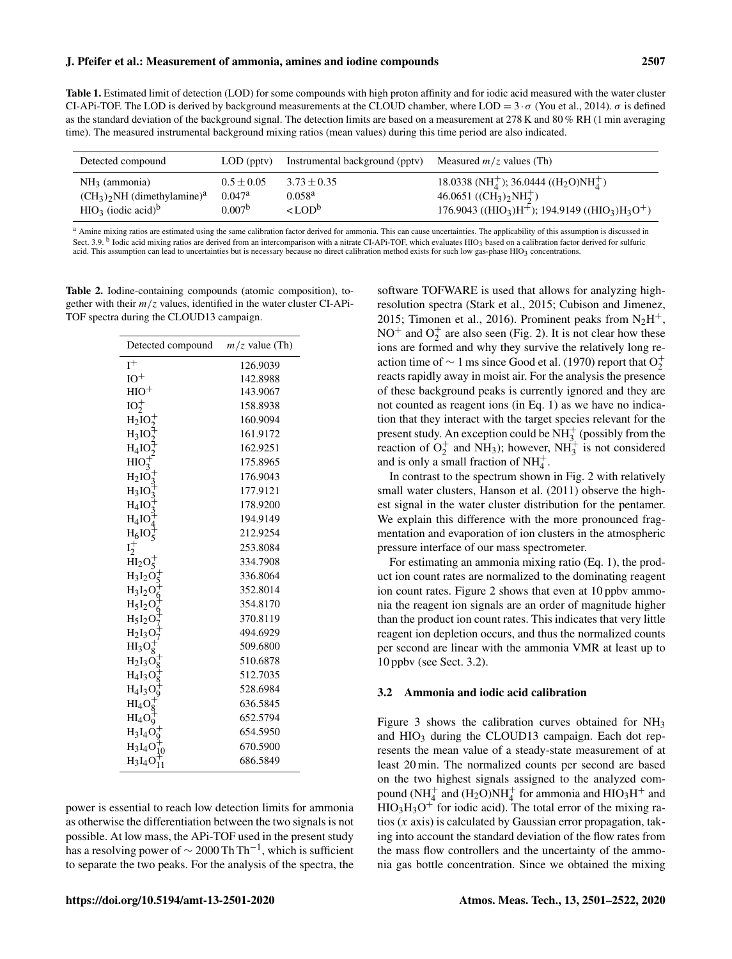#### J. Pfeifer et al.: Measurement of ammonia, amines and iodine compounds 2507

Table 1. Estimated limit of detection (LOD) for some compounds with high proton affinity and for iodic acid measured with the water cluster CI-APi-TOF. The LOD is derived by background measurements at the CLOUD chamber, where LOD =  $3 \cdot \sigma$  (You et al., 2014).  $\sigma$  is defined as the standard deviation of the background signal. The detection limits are based on a measurement at 278 K and 80 % RH (1 min averaging time). The measured instrumental background mixing ratios (mean values) during this time period are also indicated.

| Detected compound                                     | $LOD$ (ppty)       | Instrumental background (pptv) | Measured $m/z$ values (Th)                                                                                  |
|-------------------------------------------------------|--------------------|--------------------------------|-------------------------------------------------------------------------------------------------------------|
| $NH3$ (ammonia)                                       | $0.5 \pm 0.05$     | $3.73 \pm 0.35$                | 18.0338 (NH <sub>4</sub> <sup>+</sup> ); 36.0444 ((H <sub>2</sub> O)NH <sub>4</sub> <sup>+</sup> )          |
| $(CH_3)$ <sub>2</sub> NH (dimethylamine) <sup>a</sup> | 0.047 <sup>a</sup> | 0.058 <sup>a</sup>             | 46.0651 ( $(CH_3)_2NH_2^+$ )                                                                                |
| $HIO3$ (iodic acid) <sup>b</sup>                      | 0.007 <sup>b</sup> | $\leq$ LOD <sup>b</sup>        | 176.9043 ((HIO <sub>3</sub> )H <sup>+</sup> ); 194.9149 ((HIO <sub>3</sub> )H <sub>3</sub> O <sup>+</sup> ) |

<sup>a</sup> Amine mixing ratios are estimated using the same calibration factor derived for ammonia. This can cause uncertainties. The applicability of this assumption is discussed in Sect. 3.9.  $\frac{b}{c}$  Iodic acid mixing ratios are derived from an intercomparison with a nitrate CI-APi-TOF, which evaluates HIO<sub>3</sub> based on a calibration factor derived for sulfuric acid. This assumption can lead to uncertainties but is necessary because no direct calibration method exists for such low gas-phase HIO<sub>3</sub> concentrations.

Table 2. Iodine-containing compounds (atomic composition), together with their  $m/z$  values, identified in the water cluster CI-APi-TOF spectra during the CLOUD13 campaign.

| Detected compound               | $m/z$ value (Th) |
|---------------------------------|------------------|
| $\mathsf{I}^+$                  | 126.9039         |
| $10+$                           | 142.8988         |
| $HIO+$                          | 143.9067         |
| $IO_{2}^{+}$                    | 158.8938         |
| $H2$ IO                         | 160.9094         |
| $H_3$ IC                        | 161.9172         |
| $H_4$ IC                        | 162.9251         |
| HIO <sub>2</sub>                | 175.8965         |
| $H2$ IO                         | 176.9043         |
| $H_3IO$                         | 177.9121         |
| $H_4$ IO                        | 178.9200         |
| $H_4$ IO                        | 194.9149         |
| $H_6$ IO                        | 212.9254         |
| $I_2^+$<br>$HI_2O_5^+$          | 253.8084         |
|                                 | 334.7908         |
| $H_3I_2O$                       | 336.8064         |
| $H_3I_2C$                       | 352.8014         |
| $H_5I_2$                        | 354.8170         |
| $H_5I_2$                        | 370.8119         |
| $H_2I_3C$                       | 494.6929         |
| $HI3O8+$                        | 509.6800         |
| H <sub>2</sub> I <sub>3</sub> C | 510.6878         |
| $H_4I_3O$                       | 512.7035         |
| $H_4I_3C$                       | 528.6984         |
| HI <sub>4</sub> O               | 636.5845         |
| HI <sub>4</sub>                 | 652.5794         |
| $H_3I_4$                        | 654.5950         |
| $H_3I_4$                        | 670.5900         |
| $H_3I_4O$                       | 686.5849         |

power is essential to reach low detection limits for ammonia as otherwise the differentiation between the two signals is not possible. At low mass, the APi-TOF used in the present study has a resolving power of  $\sim$  2000 Th Th<sup>-1</sup>, which is sufficient to separate the two peaks. For the analysis of the spectra, the software TOFWARE is used that allows for analyzing highresolution spectra (Stark et al., 2015; Cubison and Jimenez, 2015; Timonen et al., 2016). Prominent peaks from  $N_2H^+$ ,  $NO<sup>+</sup>$  and  $O<sub>2</sub><sup>+</sup>$  are also seen (Fig. 2). It is not clear how these ions are formed and why they survive the relatively long reaction time of  $\sim 1$  ms since Good et al. (1970) report that  $O_2^+$ reacts rapidly away in moist air. For the analysis the presence of these background peaks is currently ignored and they are not counted as reagent ions (in Eq. 1) as we have no indication that they interact with the target species relevant for the present study. An exception could be  $NH<sub>3</sub><sup>+</sup>$  (possibly from the reaction of  $O_2^+$  and NH<sub>3</sub>); however, NH<sub>3</sub><sup>+</sup> is not considered and is only a small fraction of  $NH_4^+$ .

In contrast to the spectrum shown in Fig. 2 with relatively small water clusters, Hanson et al. (2011) observe the highest signal in the water cluster distribution for the pentamer. We explain this difference with the more pronounced fragmentation and evaporation of ion clusters in the atmospheric pressure interface of our mass spectrometer.

For estimating an ammonia mixing ratio (Eq. 1), the product ion count rates are normalized to the dominating reagent ion count rates. Figure 2 shows that even at 10 ppbv ammonia the reagent ion signals are an order of magnitude higher than the product ion count rates. This indicates that very little reagent ion depletion occurs, and thus the normalized counts per second are linear with the ammonia VMR at least up to 10 ppbv (see Sect. 3.2).

## 3.2 Ammonia and iodic acid calibration

Figure 3 shows the calibration curves obtained for NH<sub>3</sub> and  $HIO<sub>3</sub>$  during the CLOUD13 campaign. Each dot represents the mean value of a steady-state measurement of at least 20 min. The normalized counts per second are based on the two highest signals assigned to the analyzed compound (NH<sub>4</sub><sup>+</sup> and (H<sub>2</sub>O)NH<sub>4</sub><sup>+</sup> for ammonia and HIO<sub>3</sub>H<sup>+</sup> and  $HIO<sub>3</sub>H<sub>3</sub>O<sup>+</sup>$  for iodic acid). The total error of the mixing ratios (x axis) is calculated by Gaussian error propagation, taking into account the standard deviation of the flow rates from the mass flow controllers and the uncertainty of the ammonia gas bottle concentration. Since we obtained the mixing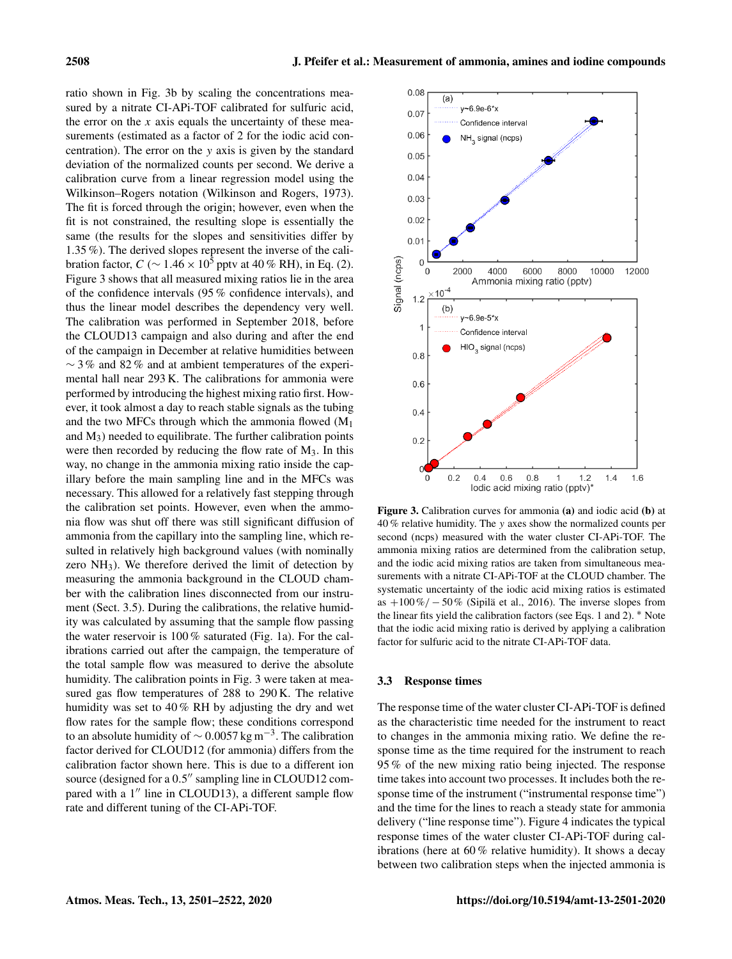ratio shown in Fig. 3b by scaling the concentrations measured by a nitrate CI-APi-TOF calibrated for sulfuric acid, the error on the  $x$  axis equals the uncertainty of these measurements (estimated as a factor of 2 for the iodic acid concentration). The error on the y axis is given by the standard deviation of the normalized counts per second. We derive a calibration curve from a linear regression model using the Wilkinson–Rogers notation (Wilkinson and Rogers, 1973). The fit is forced through the origin; however, even when the fit is not constrained, the resulting slope is essentially the same (the results for the slopes and sensitivities differ by 1.35 %). The derived slopes represent the inverse of the calibration factor,  $C \sim 1.46 \times 10^5$  pptv at 40 % RH), in Eq. (2). Figure 3 shows that all measured mixing ratios lie in the area of the confidence intervals (95 % confidence intervals), and thus the linear model describes the dependency very well. The calibration was performed in September 2018, before the CLOUD13 campaign and also during and after the end of the campaign in December at relative humidities between  $\sim$  3% and 82% and at ambient temperatures of the experimental hall near 293 K. The calibrations for ammonia were performed by introducing the highest mixing ratio first. However, it took almost a day to reach stable signals as the tubing and the two MFCs through which the ammonia flowed  $(M_1)$ and  $M_3$ ) needed to equilibrate. The further calibration points were then recorded by reducing the flow rate of  $M_3$ . In this way, no change in the ammonia mixing ratio inside the capillary before the main sampling line and in the MFCs was necessary. This allowed for a relatively fast stepping through the calibration set points. However, even when the ammonia flow was shut off there was still significant diffusion of ammonia from the capillary into the sampling line, which resulted in relatively high background values (with nominally zero  $NH<sub>3</sub>$ ). We therefore derived the limit of detection by measuring the ammonia background in the CLOUD chamber with the calibration lines disconnected from our instrument (Sect. 3.5). During the calibrations, the relative humidity was calculated by assuming that the sample flow passing the water reservoir is 100 % saturated (Fig. 1a). For the calibrations carried out after the campaign, the temperature of the total sample flow was measured to derive the absolute humidity. The calibration points in Fig. 3 were taken at measured gas flow temperatures of 288 to 290 K. The relative humidity was set to 40 % RH by adjusting the dry and wet flow rates for the sample flow; these conditions correspond to an absolute humidity of  $\sim 0.0057$  kg m<sup>-3</sup>. The calibration factor derived for CLOUD12 (for ammonia) differs from the calibration factor shown here. This is due to a different ion source (designed for a 0.5" sampling line in CLOUD12 compared with a  $1<sup>′</sup>$  line in CLOUD13), a different sample flow rate and different tuning of the CI-APi-TOF.

Figure 3. Calibration curves for ammonia (a) and iodic acid (b) at 40 % relative humidity. The y axes show the normalized counts per second (ncps) measured with the water cluster CI-APi-TOF. The ammonia mixing ratios are determined from the calibration setup, and the iodic acid mixing ratios are taken from simultaneous measurements with a nitrate CI-APi-TOF at the CLOUD chamber. The systematic uncertainty of the iodic acid mixing ratios is estimated as  $+100\% / -50\%$  (Sipilä et al., 2016). The inverse slopes from the linear fits yield the calibration factors (see Eqs. 1 and 2). <sup>∗</sup> Note that the iodic acid mixing ratio is derived by applying a calibration factor for sulfuric acid to the nitrate CI-APi-TOF data.

#### 3.3 Response times

The response time of the water cluster CI-APi-TOF is defined as the characteristic time needed for the instrument to react to changes in the ammonia mixing ratio. We define the response time as the time required for the instrument to reach 95 % of the new mixing ratio being injected. The response time takes into account two processes. It includes both the response time of the instrument ("instrumental response time") and the time for the lines to reach a steady state for ammonia delivery ("line response time"). Figure 4 indicates the typical response times of the water cluster CI-APi-TOF during calibrations (here at 60 % relative humidity). It shows a decay between two calibration steps when the injected ammonia is

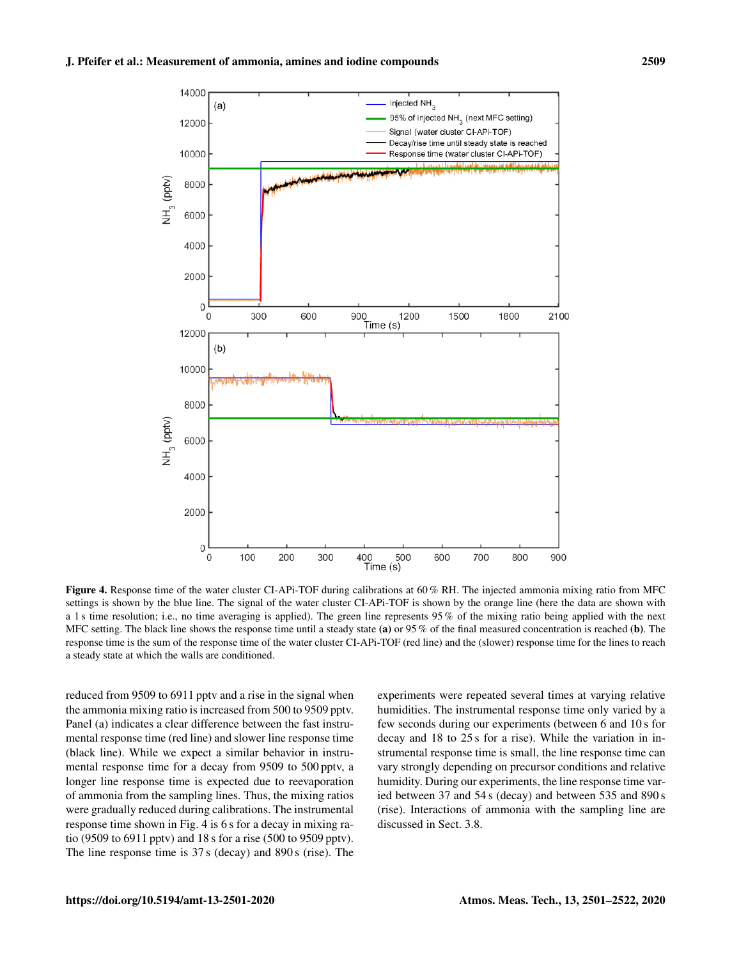

Figure 4. Response time of the water cluster CI-APi-TOF during calibrations at 60 % RH. The injected ammonia mixing ratio from MFC settings is shown by the blue line. The signal of the water cluster CI-APi-TOF is shown by the orange line (here the data are shown with a 1 s time resolution; i.e., no time averaging is applied). The green line represents 95 % of the mixing ratio being applied with the next MFC setting. The black line shows the response time until a steady state (a) or 95 % of the final measured concentration is reached (b). The response time is the sum of the response time of the water cluster CI-APi-TOF (red line) and the (slower) response time for the lines to reach a steady state at which the walls are conditioned.

reduced from 9509 to 6911 pptv and a rise in the signal when the ammonia mixing ratio is increased from 500 to 9509 pptv. Panel (a) indicates a clear difference between the fast instrumental response time (red line) and slower line response time (black line). While we expect a similar behavior in instrumental response time for a decay from 9509 to 500 pptv, a longer line response time is expected due to reevaporation of ammonia from the sampling lines. Thus, the mixing ratios were gradually reduced during calibrations. The instrumental response time shown in Fig. 4 is 6 s for a decay in mixing ratio (9509 to 6911 pptv) and 18 s for a rise (500 to 9509 pptv). The line response time is 37 s (decay) and 890 s (rise). The experiments were repeated several times at varying relative humidities. The instrumental response time only varied by a few seconds during our experiments (between 6 and 10 s for decay and 18 to 25 s for a rise). While the variation in instrumental response time is small, the line response time can vary strongly depending on precursor conditions and relative humidity. During our experiments, the line response time varied between 37 and 54 s (decay) and between 535 and 890 s (rise). Interactions of ammonia with the sampling line are discussed in Sect. 3.8.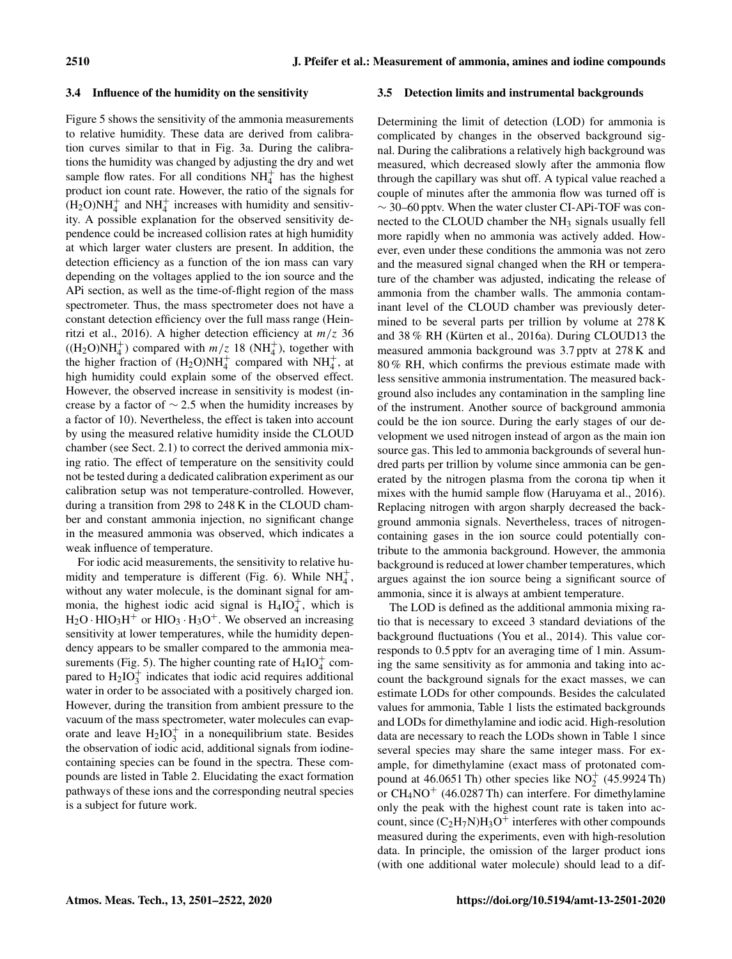#### 3.4 Influence of the humidity on the sensitivity

Figure 5 shows the sensitivity of the ammonia measurements to relative humidity. These data are derived from calibration curves similar to that in Fig. 3a. During the calibrations the humidity was changed by adjusting the dry and wet sample flow rates. For all conditions  $NH_4^+$  has the highest product ion count rate. However, the ratio of the signals for  $(H_2O)NH_4^+$  and NH<sub>4</sub><sup>+</sup> increases with humidity and sensitivity. A possible explanation for the observed sensitivity dependence could be increased collision rates at high humidity at which larger water clusters are present. In addition, the detection efficiency as a function of the ion mass can vary depending on the voltages applied to the ion source and the APi section, as well as the time-of-flight region of the mass spectrometer. Thus, the mass spectrometer does not have a constant detection efficiency over the full mass range (Heinritzi et al., 2016). A higher detection efficiency at  $m/z$  36  $((H_2O)NH_4^+)$  compared with  $m/z$  18 (NH<sup>+</sup><sub>4</sub>), together with the higher fraction of  $(H_2O)NH_4^+$  compared with  $NH_4^+$ , at high humidity could explain some of the observed effect. However, the observed increase in sensitivity is modest (increase by a factor of  $\sim$  2.5 when the humidity increases by a factor of 10). Nevertheless, the effect is taken into account by using the measured relative humidity inside the CLOUD chamber (see Sect. 2.1) to correct the derived ammonia mixing ratio. The effect of temperature on the sensitivity could not be tested during a dedicated calibration experiment as our calibration setup was not temperature-controlled. However, during a transition from 298 to 248 K in the CLOUD chamber and constant ammonia injection, no significant change in the measured ammonia was observed, which indicates a weak influence of temperature.

For iodic acid measurements, the sensitivity to relative humidity and temperature is different (Fig. 6). While  $NH_4^+$ , without any water molecule, is the dominant signal for ammonia, the highest iodic acid signal is  $H_4IO_4^+$ , which is  $H_2O \cdot HIO_3H^+$  or  $HIO_3 \cdot H_3O^+$ . We observed an increasing sensitivity at lower temperatures, while the humidity dependency appears to be smaller compared to the ammonia measurements (Fig. 5). The higher counting rate of  $H_4IO_4^+$  compared to  $H_2 I O_3^+$  indicates that iodic acid requires additional water in order to be associated with a positively charged ion. However, during the transition from ambient pressure to the vacuum of the mass spectrometer, water molecules can evaporate and leave  $H_2IO_3^+$  in a nonequilibrium state. Besides the observation of iodic acid, additional signals from iodinecontaining species can be found in the spectra. These compounds are listed in Table 2. Elucidating the exact formation pathways of these ions and the corresponding neutral species is a subject for future work.

#### 3.5 Detection limits and instrumental backgrounds

Determining the limit of detection (LOD) for ammonia is complicated by changes in the observed background signal. During the calibrations a relatively high background was measured, which decreased slowly after the ammonia flow through the capillary was shut off. A typical value reached a couple of minutes after the ammonia flow was turned off is  $\sim$  30–60 pptv. When the water cluster CI-APi-TOF was connected to the CLOUD chamber the NH<sub>3</sub> signals usually fell more rapidly when no ammonia was actively added. However, even under these conditions the ammonia was not zero and the measured signal changed when the RH or temperature of the chamber was adjusted, indicating the release of ammonia from the chamber walls. The ammonia contaminant level of the CLOUD chamber was previously determined to be several parts per trillion by volume at 278 K and 38 % RH (Kürten et al., 2016a). During CLOUD13 the measured ammonia background was 3.7 pptv at 278 K and 80 % RH, which confirms the previous estimate made with less sensitive ammonia instrumentation. The measured background also includes any contamination in the sampling line of the instrument. Another source of background ammonia could be the ion source. During the early stages of our development we used nitrogen instead of argon as the main ion source gas. This led to ammonia backgrounds of several hundred parts per trillion by volume since ammonia can be generated by the nitrogen plasma from the corona tip when it mixes with the humid sample flow (Haruyama et al., 2016). Replacing nitrogen with argon sharply decreased the background ammonia signals. Nevertheless, traces of nitrogencontaining gases in the ion source could potentially contribute to the ammonia background. However, the ammonia background is reduced at lower chamber temperatures, which argues against the ion source being a significant source of ammonia, since it is always at ambient temperature.

The LOD is defined as the additional ammonia mixing ratio that is necessary to exceed 3 standard deviations of the background fluctuations (You et al., 2014). This value corresponds to 0.5 pptv for an averaging time of 1 min. Assuming the same sensitivity as for ammonia and taking into account the background signals for the exact masses, we can estimate LODs for other compounds. Besides the calculated values for ammonia, Table 1 lists the estimated backgrounds and LODs for dimethylamine and iodic acid. High-resolution data are necessary to reach the LODs shown in Table 1 since several species may share the same integer mass. For example, for dimethylamine (exact mass of protonated compound at 46.0651 Th) other species like  $\overrightarrow{NO_2^+}$  (45.9924 Th) or  $CH_4NO^+$  (46.0287 Th) can interfere. For dimethylamine only the peak with the highest count rate is taken into account, since  $(C_2H_7N)H_3O^+$  interferes with other compounds measured during the experiments, even with high-resolution data. In principle, the omission of the larger product ions (with one additional water molecule) should lead to a dif-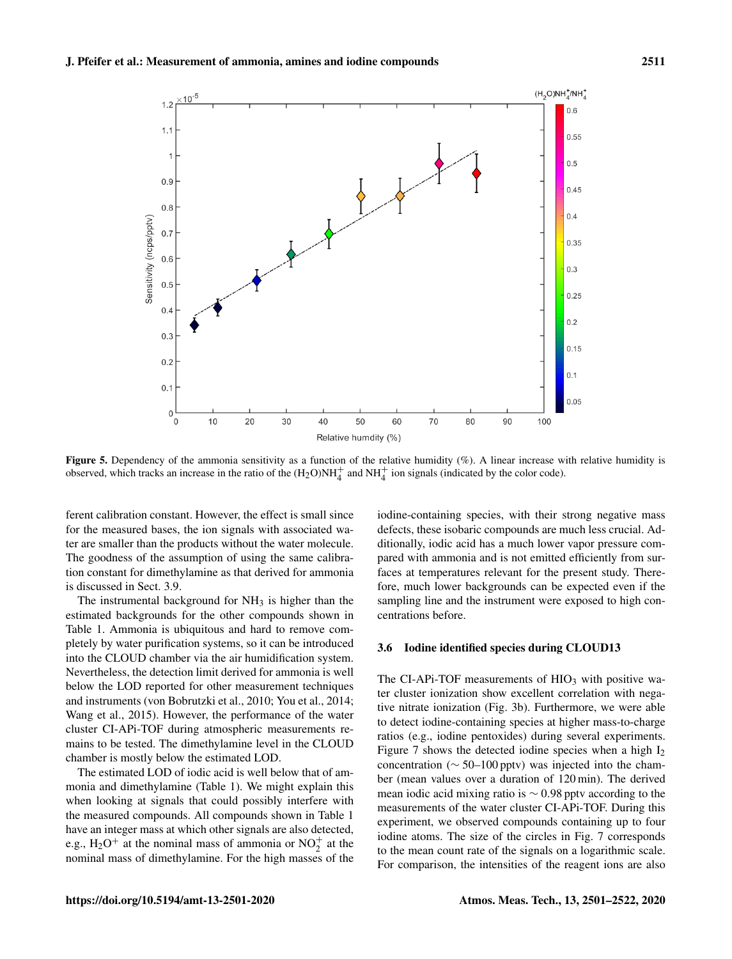

**Figure 5.** Dependency of the ammonia sensitivity as a function of the relative humidity  $(\%)$ . A linear increase with relative humidity is observed, which tracks an increase in the ratio of the  $(H_2O)NH_4^+$  and  $NH_4^+$  ion signals (indicated by the color code).

ferent calibration constant. However, the effect is small since for the measured bases, the ion signals with associated water are smaller than the products without the water molecule. The goodness of the assumption of using the same calibration constant for dimethylamine as that derived for ammonia is discussed in Sect. 3.9.

The instrumental background for  $NH<sub>3</sub>$  is higher than the estimated backgrounds for the other compounds shown in Table 1. Ammonia is ubiquitous and hard to remove completely by water purification systems, so it can be introduced into the CLOUD chamber via the air humidification system. Nevertheless, the detection limit derived for ammonia is well below the LOD reported for other measurement techniques and instruments (von Bobrutzki et al., 2010; You et al., 2014; Wang et al., 2015). However, the performance of the water cluster CI-APi-TOF during atmospheric measurements remains to be tested. The dimethylamine level in the CLOUD chamber is mostly below the estimated LOD.

The estimated LOD of iodic acid is well below that of ammonia and dimethylamine (Table 1). We might explain this when looking at signals that could possibly interfere with the measured compounds. All compounds shown in Table 1 have an integer mass at which other signals are also detected, e.g.,  $H_2O^+$  at the nominal mass of ammonia or  $NO_2^+$  at the nominal mass of dimethylamine. For the high masses of the

iodine-containing species, with their strong negative mass defects, these isobaric compounds are much less crucial. Additionally, iodic acid has a much lower vapor pressure compared with ammonia and is not emitted efficiently from surfaces at temperatures relevant for the present study. Therefore, much lower backgrounds can be expected even if the sampling line and the instrument were exposed to high concentrations before.

## 3.6 Iodine identified species during CLOUD13

The CI-APi-TOF measurements of  $HIO<sub>3</sub>$  with positive water cluster ionization show excellent correlation with negative nitrate ionization (Fig. 3b). Furthermore, we were able to detect iodine-containing species at higher mass-to-charge ratios (e.g., iodine pentoxides) during several experiments. Figure 7 shows the detected iodine species when a high  $I_2$ concentration ( $\sim$  50–100 pptv) was injected into the chamber (mean values over a duration of 120 min). The derived mean iodic acid mixing ratio is ∼ 0.98 pptv according to the measurements of the water cluster CI-APi-TOF. During this experiment, we observed compounds containing up to four iodine atoms. The size of the circles in Fig. 7 corresponds to the mean count rate of the signals on a logarithmic scale. For comparison, the intensities of the reagent ions are also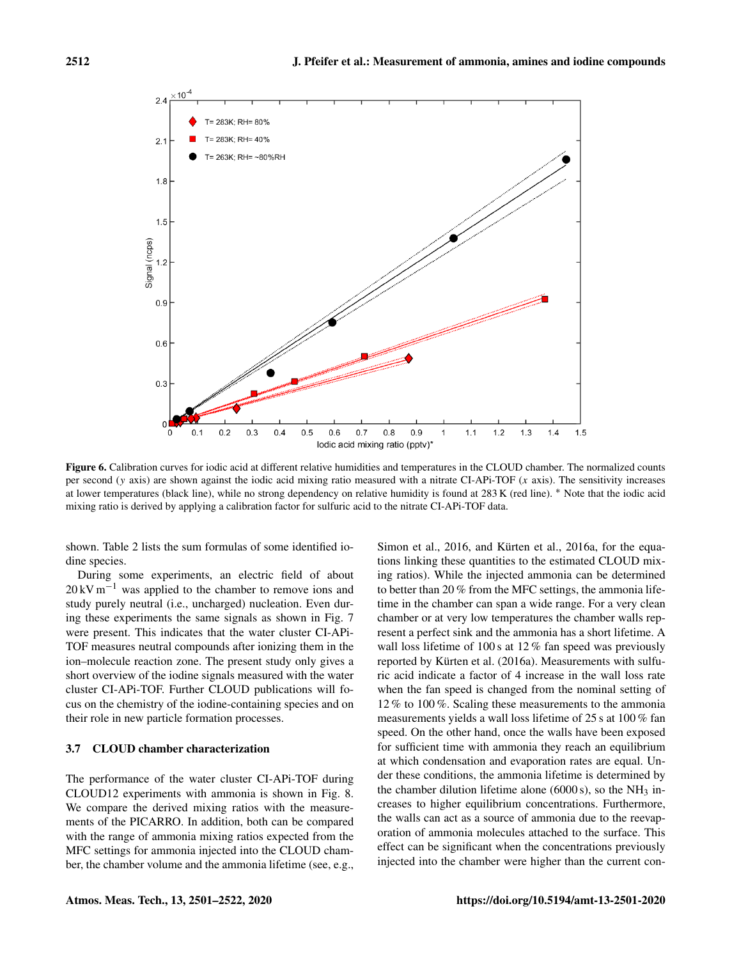

Figure 6. Calibration curves for iodic acid at different relative humidities and temperatures in the CLOUD chamber. The normalized counts per second (y axis) are shown against the iodic acid mixing ratio measured with a nitrate CI-APi-TOF  $(x \text{ axis})$ . The sensitivity increases at lower temperatures (black line), while no strong dependency on relative humidity is found at 283 K (red line). <sup>∗</sup> Note that the iodic acid mixing ratio is derived by applying a calibration factor for sulfuric acid to the nitrate CI-APi-TOF data.

shown. Table 2 lists the sum formulas of some identified iodine species.

During some experiments, an electric field of about  $20 \mathrm{kV m^{-1}}$  was applied to the chamber to remove ions and study purely neutral (i.e., uncharged) nucleation. Even during these experiments the same signals as shown in Fig. 7 were present. This indicates that the water cluster CI-APi-TOF measures neutral compounds after ionizing them in the ion–molecule reaction zone. The present study only gives a short overview of the iodine signals measured with the water cluster CI-APi-TOF. Further CLOUD publications will focus on the chemistry of the iodine-containing species and on their role in new particle formation processes.

## 3.7 CLOUD chamber characterization

The performance of the water cluster CI-APi-TOF during CLOUD12 experiments with ammonia is shown in Fig. 8. We compare the derived mixing ratios with the measurements of the PICARRO. In addition, both can be compared with the range of ammonia mixing ratios expected from the MFC settings for ammonia injected into the CLOUD chamber, the chamber volume and the ammonia lifetime (see, e.g.,

Simon et al., 2016, and Kürten et al., 2016a, for the equations linking these quantities to the estimated CLOUD mixing ratios). While the injected ammonia can be determined to better than 20 % from the MFC settings, the ammonia lifetime in the chamber can span a wide range. For a very clean chamber or at very low temperatures the chamber walls represent a perfect sink and the ammonia has a short lifetime. A wall loss lifetime of 100 s at 12 % fan speed was previously reported by Kürten et al. (2016a). Measurements with sulfuric acid indicate a factor of 4 increase in the wall loss rate when the fan speed is changed from the nominal setting of 12 % to 100 %. Scaling these measurements to the ammonia measurements yields a wall loss lifetime of 25 s at 100 % fan speed. On the other hand, once the walls have been exposed for sufficient time with ammonia they reach an equilibrium at which condensation and evaporation rates are equal. Under these conditions, the ammonia lifetime is determined by the chamber dilution lifetime alone (6000 s), so the NH<sub>3</sub> increases to higher equilibrium concentrations. Furthermore, the walls can act as a source of ammonia due to the reevaporation of ammonia molecules attached to the surface. This effect can be significant when the concentrations previously injected into the chamber were higher than the current con-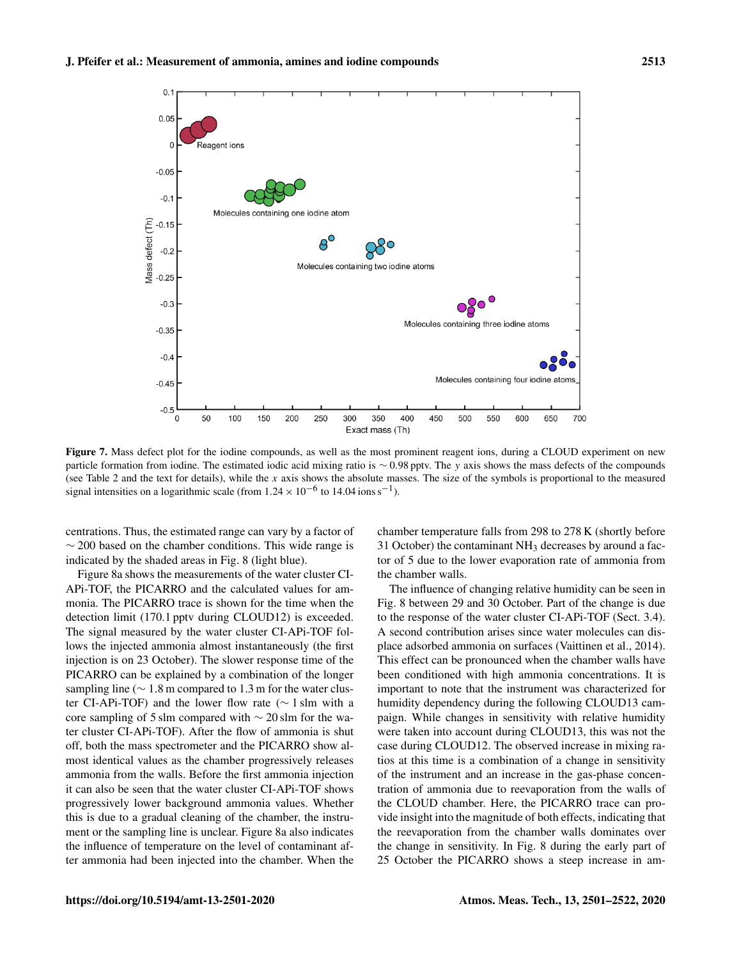

Figure 7. Mass defect plot for the iodine compounds, as well as the most prominent reagent ions, during a CLOUD experiment on new particle formation from iodine. The estimated iodic acid mixing ratio is ∼ 0.98 pptv. The y axis shows the mass defects of the compounds (see Table 2 and the text for details), while the x axis shows the absolute masses. The size of the symbols is proportional to the measured signal intensities on a logarithmic scale (from  $1.24 \times 10^{-6}$  to  $14.04 \text{ ions s}^{-1}$ ).

centrations. Thus, the estimated range can vary by a factor of  $\sim$  200 based on the chamber conditions. This wide range is indicated by the shaded areas in Fig. 8 (light blue).

Figure 8a shows the measurements of the water cluster CI-APi-TOF, the PICARRO and the calculated values for ammonia. The PICARRO trace is shown for the time when the detection limit (170.1 pptv during CLOUD12) is exceeded. The signal measured by the water cluster CI-APi-TOF follows the injected ammonia almost instantaneously (the first injection is on 23 October). The slower response time of the PICARRO can be explained by a combination of the longer sampling line ( $\sim$  1.8 m compared to 1.3 m for the water cluster CI-APi-TOF) and the lower flow rate (∼ 1 slm with a core sampling of 5 slm compared with  $\sim$  20 slm for the water cluster CI-APi-TOF). After the flow of ammonia is shut off, both the mass spectrometer and the PICARRO show almost identical values as the chamber progressively releases ammonia from the walls. Before the first ammonia injection it can also be seen that the water cluster CI-APi-TOF shows progressively lower background ammonia values. Whether this is due to a gradual cleaning of the chamber, the instrument or the sampling line is unclear. Figure 8a also indicates the influence of temperature on the level of contaminant after ammonia had been injected into the chamber. When the chamber temperature falls from 298 to 278 K (shortly before 31 October) the contaminant NH<sup>3</sup> decreases by around a factor of 5 due to the lower evaporation rate of ammonia from the chamber walls.

The influence of changing relative humidity can be seen in Fig. 8 between 29 and 30 October. Part of the change is due to the response of the water cluster CI-APi-TOF (Sect. 3.4). A second contribution arises since water molecules can displace adsorbed ammonia on surfaces (Vaittinen et al., 2014). This effect can be pronounced when the chamber walls have been conditioned with high ammonia concentrations. It is important to note that the instrument was characterized for humidity dependency during the following CLOUD13 campaign. While changes in sensitivity with relative humidity were taken into account during CLOUD13, this was not the case during CLOUD12. The observed increase in mixing ratios at this time is a combination of a change in sensitivity of the instrument and an increase in the gas-phase concentration of ammonia due to reevaporation from the walls of the CLOUD chamber. Here, the PICARRO trace can provide insight into the magnitude of both effects, indicating that the reevaporation from the chamber walls dominates over the change in sensitivity. In Fig. 8 during the early part of 25 October the PICARRO shows a steep increase in am-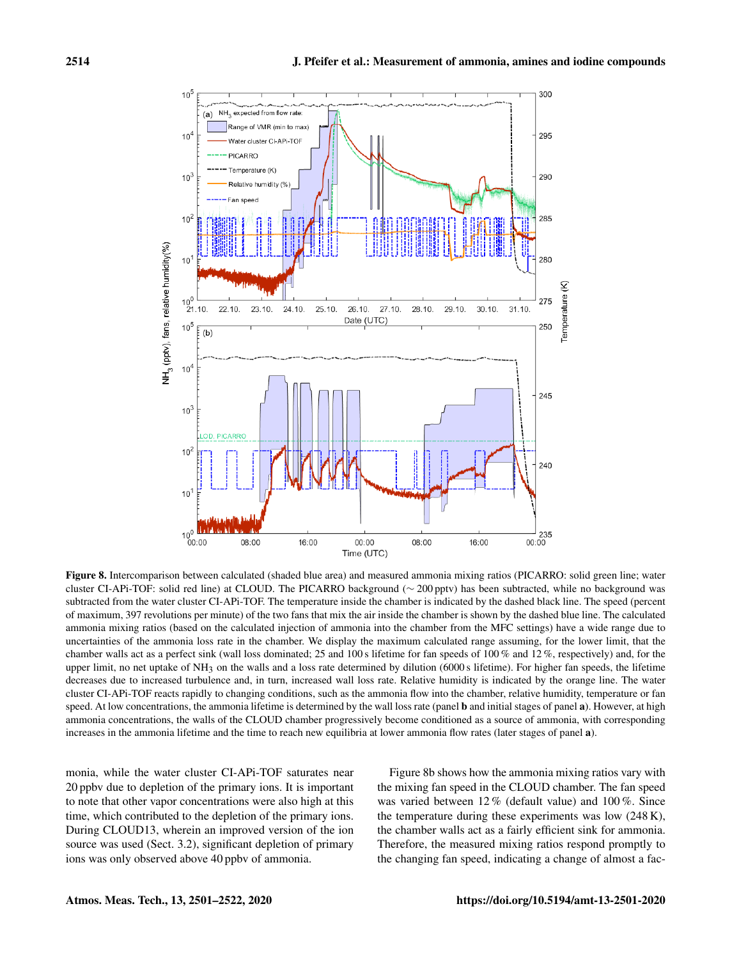

Figure 8. Intercomparison between calculated (shaded blue area) and measured ammonia mixing ratios (PICARRO: solid green line; water cluster CI-APi-TOF: solid red line) at CLOUD. The PICARRO background (∼ 200 pptv) has been subtracted, while no background was subtracted from the water cluster CI-APi-TOF. The temperature inside the chamber is indicated by the dashed black line. The speed (percent of maximum, 397 revolutions per minute) of the two fans that mix the air inside the chamber is shown by the dashed blue line. The calculated ammonia mixing ratios (based on the calculated injection of ammonia into the chamber from the MFC settings) have a wide range due to uncertainties of the ammonia loss rate in the chamber. We display the maximum calculated range assuming, for the lower limit, that the chamber walls act as a perfect sink (wall loss dominated; 25 and 100 s lifetime for fan speeds of 100 % and 12 %, respectively) and, for the upper limit, no net uptake of  $NH_3$  on the walls and a loss rate determined by dilution (6000 s lifetime). For higher fan speeds, the lifetime decreases due to increased turbulence and, in turn, increased wall loss rate. Relative humidity is indicated by the orange line. The water cluster CI-APi-TOF reacts rapidly to changing conditions, such as the ammonia flow into the chamber, relative humidity, temperature or fan speed. At low concentrations, the ammonia lifetime is determined by the wall loss rate (panel **b** and initial stages of panel **a**). However, at high ammonia concentrations, the walls of the CLOUD chamber progressively become conditioned as a source of ammonia, with corresponding increases in the ammonia lifetime and the time to reach new equilibria at lower ammonia flow rates (later stages of panel a).

monia, while the water cluster CI-APi-TOF saturates near 20 ppbv due to depletion of the primary ions. It is important to note that other vapor concentrations were also high at this time, which contributed to the depletion of the primary ions. During CLOUD13, wherein an improved version of the ion source was used (Sect. 3.2), significant depletion of primary ions was only observed above 40 ppbv of ammonia.

Figure 8b shows how the ammonia mixing ratios vary with the mixing fan speed in the CLOUD chamber. The fan speed was varied between 12 % (default value) and 100 %. Since the temperature during these experiments was low (248 K), the chamber walls act as a fairly efficient sink for ammonia. Therefore, the measured mixing ratios respond promptly to the changing fan speed, indicating a change of almost a fac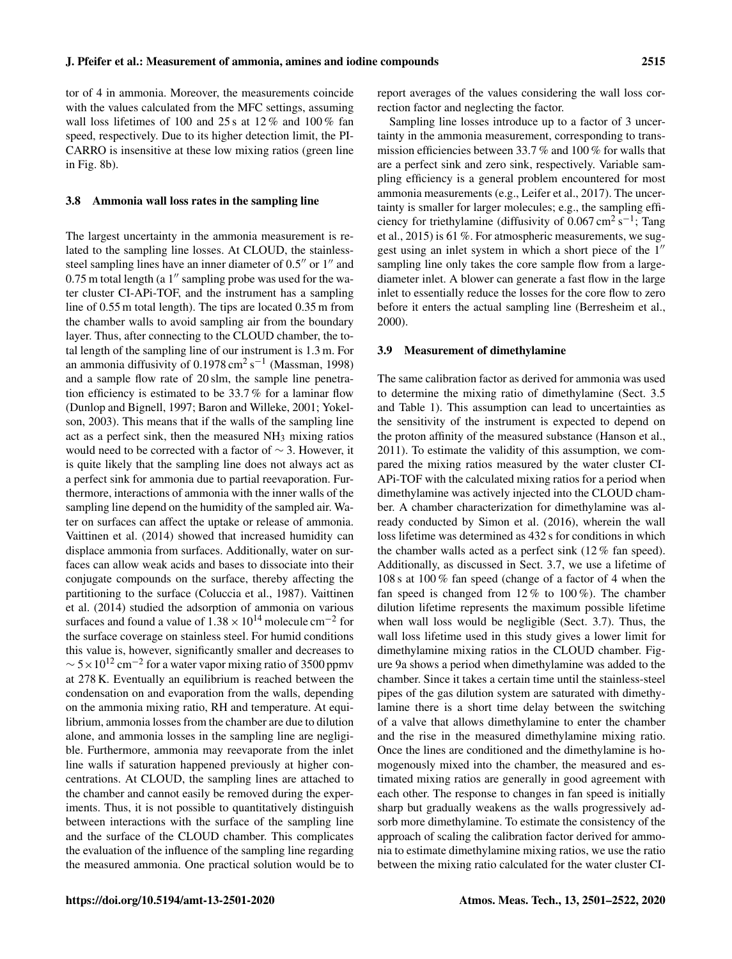tor of 4 in ammonia. Moreover, the measurements coincide with the values calculated from the MFC settings, assuming wall loss lifetimes of 100 and 25 s at 12 % and 100 % fan speed, respectively. Due to its higher detection limit, the PI-CARRO is insensitive at these low mixing ratios (green line in Fig. 8b).

#### 3.8 Ammonia wall loss rates in the sampling line

The largest uncertainty in the ammonia measurement is related to the sampling line losses. At CLOUD, the stainlesssteel sampling lines have an inner diameter of  $0.5''$  or  $1''$  and  $0.75$  m total length (a  $1''$  sampling probe was used for the water cluster CI-APi-TOF, and the instrument has a sampling line of 0.55 m total length). The tips are located 0.35 m from the chamber walls to avoid sampling air from the boundary layer. Thus, after connecting to the CLOUD chamber, the total length of the sampling line of our instrument is 1.3 m. For an ammonia diffusivity of  $0.1978 \text{ cm}^2 \text{ s}^{-1}$  (Massman, 1998) and a sample flow rate of 20 slm, the sample line penetration efficiency is estimated to be 33.7 % for a laminar flow (Dunlop and Bignell, 1997; Baron and Willeke, 2001; Yokelson, 2003). This means that if the walls of the sampling line act as a perfect sink, then the measured  $NH<sub>3</sub>$  mixing ratios would need to be corrected with a factor of ∼ 3. However, it is quite likely that the sampling line does not always act as a perfect sink for ammonia due to partial reevaporation. Furthermore, interactions of ammonia with the inner walls of the sampling line depend on the humidity of the sampled air. Water on surfaces can affect the uptake or release of ammonia. Vaittinen et al. (2014) showed that increased humidity can displace ammonia from surfaces. Additionally, water on surfaces can allow weak acids and bases to dissociate into their conjugate compounds on the surface, thereby affecting the partitioning to the surface (Coluccia et al., 1987). Vaittinen et al. (2014) studied the adsorption of ammonia on various surfaces and found a value of  $1.38 \times 10^{14}$  molecule cm<sup>-2</sup> for the surface coverage on stainless steel. For humid conditions this value is, however, significantly smaller and decreases to  $\sim$  5 × 10<sup>12</sup> cm<sup>-2</sup> for a water vapor mixing ratio of 3500 ppmv at 278 K. Eventually an equilibrium is reached between the condensation on and evaporation from the walls, depending on the ammonia mixing ratio, RH and temperature. At equilibrium, ammonia losses from the chamber are due to dilution alone, and ammonia losses in the sampling line are negligible. Furthermore, ammonia may reevaporate from the inlet line walls if saturation happened previously at higher concentrations. At CLOUD, the sampling lines are attached to the chamber and cannot easily be removed during the experiments. Thus, it is not possible to quantitatively distinguish between interactions with the surface of the sampling line and the surface of the CLOUD chamber. This complicates the evaluation of the influence of the sampling line regarding the measured ammonia. One practical solution would be to report averages of the values considering the wall loss correction factor and neglecting the factor.

Sampling line losses introduce up to a factor of 3 uncertainty in the ammonia measurement, corresponding to transmission efficiencies between 33.7 % and 100 % for walls that are a perfect sink and zero sink, respectively. Variable sampling efficiency is a general problem encountered for most ammonia measurements (e.g., Leifer et al., 2017). The uncertainty is smaller for larger molecules; e.g., the sampling efficiency for triethylamine (diffusivity of  $0.067 \text{ cm}^2 \text{ s}^{-1}$ ; Tang et al., 2015) is 61 %. For atmospheric measurements, we suggest using an inlet system in which a short piece of the  $1<sup>0</sup>$ sampling line only takes the core sample flow from a largediameter inlet. A blower can generate a fast flow in the large inlet to essentially reduce the losses for the core flow to zero before it enters the actual sampling line (Berresheim et al., 2000).

#### 3.9 Measurement of dimethylamine

The same calibration factor as derived for ammonia was used to determine the mixing ratio of dimethylamine (Sect. 3.5 and Table 1). This assumption can lead to uncertainties as the sensitivity of the instrument is expected to depend on the proton affinity of the measured substance (Hanson et al., 2011). To estimate the validity of this assumption, we compared the mixing ratios measured by the water cluster CI-APi-TOF with the calculated mixing ratios for a period when dimethylamine was actively injected into the CLOUD chamber. A chamber characterization for dimethylamine was already conducted by Simon et al. (2016), wherein the wall loss lifetime was determined as 432 s for conditions in which the chamber walls acted as a perfect sink (12 % fan speed). Additionally, as discussed in Sect. 3.7, we use a lifetime of 108 s at 100 % fan speed (change of a factor of 4 when the fan speed is changed from  $12\%$  to  $100\%$ ). The chamber dilution lifetime represents the maximum possible lifetime when wall loss would be negligible (Sect. 3.7). Thus, the wall loss lifetime used in this study gives a lower limit for dimethylamine mixing ratios in the CLOUD chamber. Figure 9a shows a period when dimethylamine was added to the chamber. Since it takes a certain time until the stainless-steel pipes of the gas dilution system are saturated with dimethylamine there is a short time delay between the switching of a valve that allows dimethylamine to enter the chamber and the rise in the measured dimethylamine mixing ratio. Once the lines are conditioned and the dimethylamine is homogenously mixed into the chamber, the measured and estimated mixing ratios are generally in good agreement with each other. The response to changes in fan speed is initially sharp but gradually weakens as the walls progressively adsorb more dimethylamine. To estimate the consistency of the approach of scaling the calibration factor derived for ammonia to estimate dimethylamine mixing ratios, we use the ratio between the mixing ratio calculated for the water cluster CI-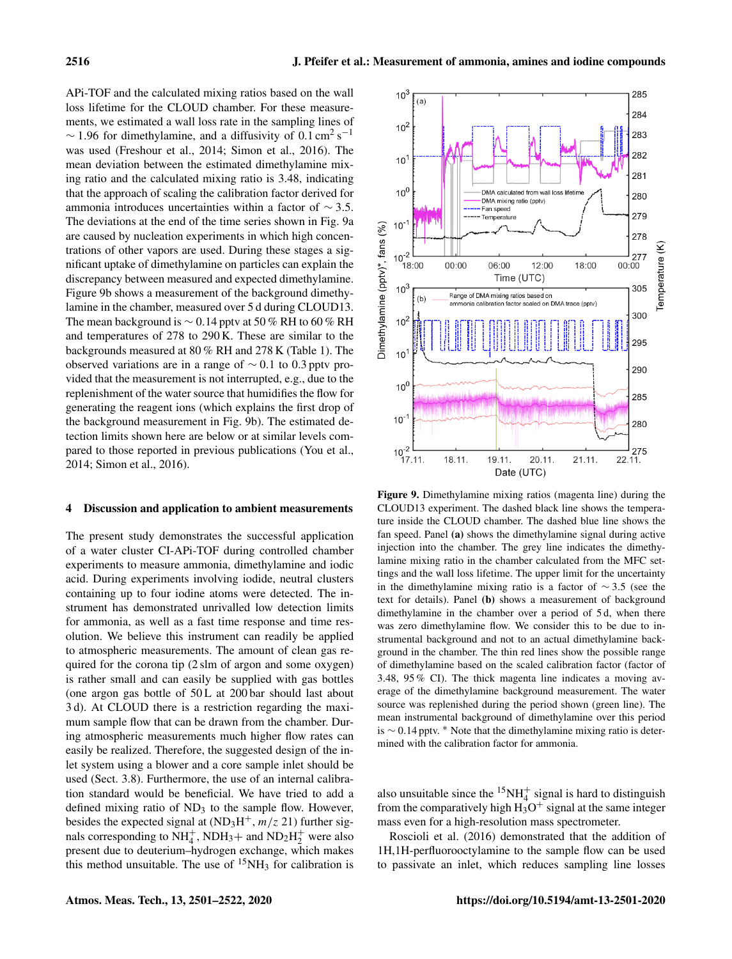APi-TOF and the calculated mixing ratios based on the wall loss lifetime for the CLOUD chamber. For these measurements, we estimated a wall loss rate in the sampling lines of  $\sim$  1.96 for dimethylamine, and a diffusivity of 0.1 cm<sup>2</sup> s<sup>-1</sup> was used (Freshour et al., 2014; Simon et al., 2016). The mean deviation between the estimated dimethylamine mixing ratio and the calculated mixing ratio is 3.48, indicating that the approach of scaling the calibration factor derived for ammonia introduces uncertainties within a factor of ∼ 3.5. The deviations at the end of the time series shown in Fig. 9a are caused by nucleation experiments in which high concentrations of other vapors are used. During these stages a significant uptake of dimethylamine on particles can explain the discrepancy between measured and expected dimethylamine. Figure 9b shows a measurement of the background dimethylamine in the chamber, measured over 5 d during CLOUD13. The mean background is  $\sim$  0.14 pptv at 50 % RH to 60 % RH and temperatures of 278 to 290 K. These are similar to the backgrounds measured at 80 % RH and 278 K (Table 1). The observed variations are in a range of ∼ 0.1 to 0.3 pptv provided that the measurement is not interrupted, e.g., due to the replenishment of the water source that humidifies the flow for generating the reagent ions (which explains the first drop of the background measurement in Fig. 9b). The estimated detection limits shown here are below or at similar levels compared to those reported in previous publications (You et al., 2014; Simon et al., 2016).

## 4 Discussion and application to ambient measurements

The present study demonstrates the successful application of a water cluster CI-APi-TOF during controlled chamber experiments to measure ammonia, dimethylamine and iodic acid. During experiments involving iodide, neutral clusters containing up to four iodine atoms were detected. The instrument has demonstrated unrivalled low detection limits for ammonia, as well as a fast time response and time resolution. We believe this instrument can readily be applied to atmospheric measurements. The amount of clean gas required for the corona tip (2 slm of argon and some oxygen) is rather small and can easily be supplied with gas bottles (one argon gas bottle of 50 L at 200 bar should last about 3 d). At CLOUD there is a restriction regarding the maximum sample flow that can be drawn from the chamber. During atmospheric measurements much higher flow rates can easily be realized. Therefore, the suggested design of the inlet system using a blower and a core sample inlet should be used (Sect. 3.8). Furthermore, the use of an internal calibration standard would be beneficial. We have tried to add a defined mixing ratio of  $ND_3$  to the sample flow. However, besides the expected signal at  $(ND<sub>3</sub>H<sup>+</sup>, m/z 21)$  further signals corresponding to  $NH_4^+$ , NDH<sub>3</sub>+ and ND<sub>2</sub>H<sub>2</sub><sup>+</sup> were also present due to deuterium–hydrogen exchange, which makes this method unsuitable. The use of  ${}^{15}NH_3$  for calibration is Figure 9. Dimethylamine mixing ratios (magenta line) during the CLOUD13 experiment. The dashed black line shows the temperature inside the CLOUD chamber. The dashed blue line shows the fan speed. Panel (a) shows the dimethylamine signal during active injection into the chamber. The grey line indicates the dimethylamine mixing ratio in the chamber calculated from the MFC settings and the wall loss lifetime. The upper limit for the uncertainty in the dimethylamine mixing ratio is a factor of  $\sim$  3.5 (see the text for details). Panel (b) shows a measurement of background dimethylamine in the chamber over a period of 5 d, when there was zero dimethylamine flow. We consider this to be due to instrumental background and not to an actual dimethylamine background in the chamber. The thin red lines show the possible range of dimethylamine based on the scaled calibration factor (factor of 3.48, 95 % CI). The thick magenta line indicates a moving average of the dimethylamine background measurement. The water source was replenished during the period shown (green line). The mean instrumental background of dimethylamine over this period is ∼ 0.14 pptv. <sup>∗</sup> Note that the dimethylamine mixing ratio is determined with the calibration factor for ammonia.

also unsuitable since the  ${}^{15}NH_4^+$  signal is hard to distinguish from the comparatively high  $H_3O^+$  signal at the same integer mass even for a high-resolution mass spectrometer.

Roscioli et al. (2016) demonstrated that the addition of 1H,1H-perfluorooctylamine to the sample flow can be used to passivate an inlet, which reduces sampling line losses

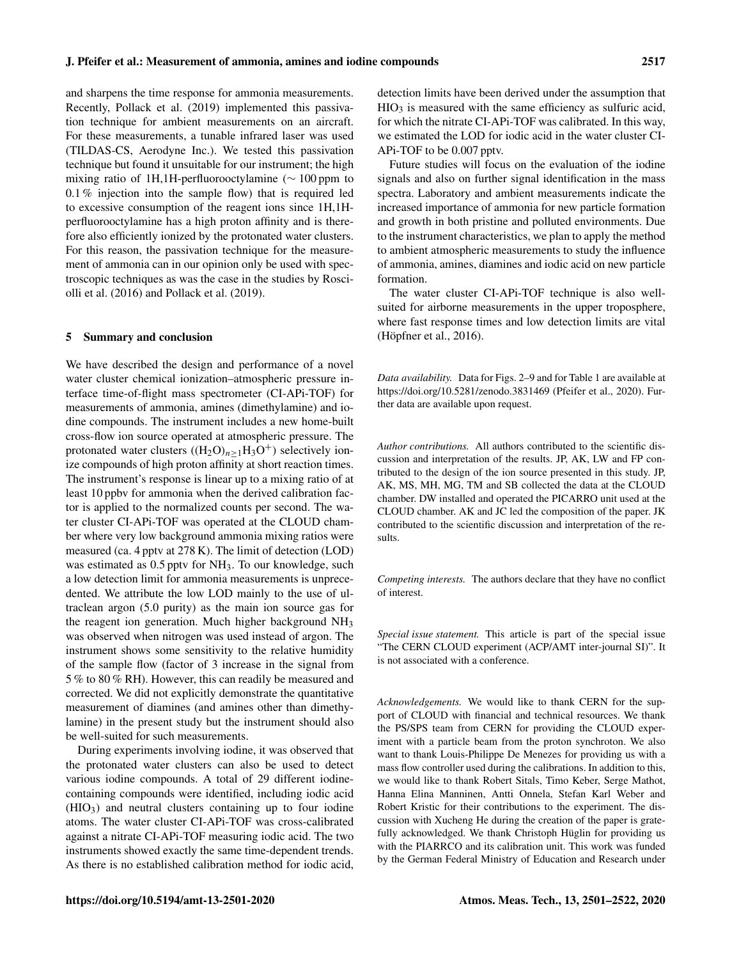#### J. Pfeifer et al.: Measurement of ammonia, amines and iodine compounds 2517

and sharpens the time response for ammonia measurements. Recently, Pollack et al. (2019) implemented this passivation technique for ambient measurements on an aircraft. For these measurements, a tunable infrared laser was used (TILDAS-CS, Aerodyne Inc.). We tested this passivation technique but found it unsuitable for our instrument; the high mixing ratio of 1H,1H-perfluorooctylamine (∼ 100 ppm to 0.1 % injection into the sample flow) that is required led to excessive consumption of the reagent ions since 1H,1Hperfluorooctylamine has a high proton affinity and is therefore also efficiently ionized by the protonated water clusters. For this reason, the passivation technique for the measurement of ammonia can in our opinion only be used with spectroscopic techniques as was the case in the studies by Rosciolli et al. (2016) and Pollack et al. (2019).

#### 5 Summary and conclusion

We have described the design and performance of a novel water cluster chemical ionization–atmospheric pressure interface time-of-flight mass spectrometer (CI-APi-TOF) for measurements of ammonia, amines (dimethylamine) and iodine compounds. The instrument includes a new home-built cross-flow ion source operated at atmospheric pressure. The protonated water clusters  $((H_2O)_{n\geq 1}H_3O^+)$  selectively ionize compounds of high proton affinity at short reaction times. The instrument's response is linear up to a mixing ratio of at least 10 ppbv for ammonia when the derived calibration factor is applied to the normalized counts per second. The water cluster CI-APi-TOF was operated at the CLOUD chamber where very low background ammonia mixing ratios were measured (ca. 4 pptv at 278 K). The limit of detection (LOD) was estimated as  $0.5$  pptv for NH<sub>3</sub>. To our knowledge, such a low detection limit for ammonia measurements is unprecedented. We attribute the low LOD mainly to the use of ultraclean argon (5.0 purity) as the main ion source gas for the reagent ion generation. Much higher background NH<sup>3</sup> was observed when nitrogen was used instead of argon. The instrument shows some sensitivity to the relative humidity of the sample flow (factor of 3 increase in the signal from 5 % to 80 % RH). However, this can readily be measured and corrected. We did not explicitly demonstrate the quantitative measurement of diamines (and amines other than dimethylamine) in the present study but the instrument should also be well-suited for such measurements.

During experiments involving iodine, it was observed that the protonated water clusters can also be used to detect various iodine compounds. A total of 29 different iodinecontaining compounds were identified, including iodic acid  $(HIO<sub>3</sub>)$  and neutral clusters containing up to four iodine atoms. The water cluster CI-APi-TOF was cross-calibrated against a nitrate CI-APi-TOF measuring iodic acid. The two instruments showed exactly the same time-dependent trends. As there is no established calibration method for iodic acid, detection limits have been derived under the assumption that  $HIO<sub>3</sub>$  is measured with the same efficiency as sulfuric acid, for which the nitrate CI-APi-TOF was calibrated. In this way, we estimated the LOD for iodic acid in the water cluster CI-APi-TOF to be 0.007 pptv.

Future studies will focus on the evaluation of the iodine signals and also on further signal identification in the mass spectra. Laboratory and ambient measurements indicate the increased importance of ammonia for new particle formation and growth in both pristine and polluted environments. Due to the instrument characteristics, we plan to apply the method to ambient atmospheric measurements to study the influence of ammonia, amines, diamines and iodic acid on new particle formation.

The water cluster CI-APi-TOF technique is also wellsuited for airborne measurements in the upper troposphere, where fast response times and low detection limits are vital (Höpfner et al., 2016).

*Data availability.* Data for Figs. 2–9 and for Table 1 are available at https://doi.org[/10.5281/zenodo.3831469](https://doi.org/10.5281/zenodo.3831469) (Pfeifer et al., 2020). Further data are available upon request.

*Author contributions.* All authors contributed to the scientific discussion and interpretation of the results. JP, AK, LW and FP contributed to the design of the ion source presented in this study. JP, AK, MS, MH, MG, TM and SB collected the data at the CLOUD chamber. DW installed and operated the PICARRO unit used at the CLOUD chamber. AK and JC led the composition of the paper. JK contributed to the scientific discussion and interpretation of the results.

*Competing interests.* The authors declare that they have no conflict of interest.

*Special issue statement.* This article is part of the special issue "The CERN CLOUD experiment (ACP/AMT inter-journal SI)". It is not associated with a conference.

*Acknowledgements.* We would like to thank CERN for the support of CLOUD with financial and technical resources. We thank the PS/SPS team from CERN for providing the CLOUD experiment with a particle beam from the proton synchroton. We also want to thank Louis-Philippe De Menezes for providing us with a mass flow controller used during the calibrations. In addition to this, we would like to thank Robert Sitals, Timo Keber, Serge Mathot, Hanna Elina Manninen, Antti Onnela, Stefan Karl Weber and Robert Kristic for their contributions to the experiment. The discussion with Xucheng He during the creation of the paper is gratefully acknowledged. We thank Christoph Hüglin for providing us with the PIARRCO and its calibration unit. This work was funded by the German Federal Ministry of Education and Research under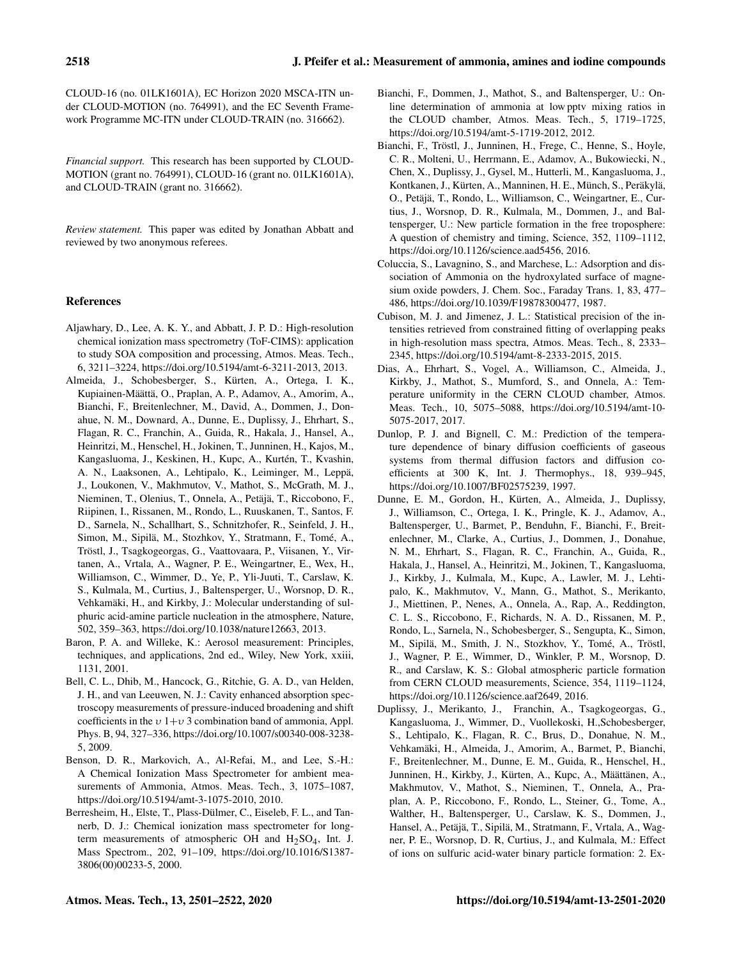CLOUD-16 (no. 01LK1601A), EC Horizon 2020 MSCA-ITN under CLOUD-MOTION (no. 764991), and the EC Seventh Framework Programme MC-ITN under CLOUD-TRAIN (no. 316662).

*Financial support.* This research has been supported by CLOUD-MOTION (grant no. 764991), CLOUD-16 (grant no. 01LK1601A), and CLOUD-TRAIN (grant no. 316662).

*Review statement.* This paper was edited by Jonathan Abbatt and reviewed by two anonymous referees.

## **References**

- Aljawhary, D., Lee, A. K. Y., and Abbatt, J. P. D.: High-resolution chemical ionization mass spectrometry (ToF-CIMS): application to study SOA composition and processing, Atmos. Meas. Tech., 6, 3211–3224, https://doi.org[/10.5194/amt-6-3211-2013,](https://doi.org/10.5194/amt-6-3211-2013) 2013.
- Almeida, J., Schobesberger, S., Kürten, A., Ortega, I. K., Kupiainen-Määttä, O., Praplan, A. P., Adamov, A., Amorim, A., Bianchi, F., Breitenlechner, M., David, A., Dommen, J., Donahue, N. M., Downard, A., Dunne, E., Duplissy, J., Ehrhart, S., Flagan, R. C., Franchin, A., Guida, R., Hakala, J., Hansel, A., Heinritzi, M., Henschel, H., Jokinen, T., Junninen, H., Kajos, M., Kangasluoma, J., Keskinen, H., Kupc, A., Kurtén, T., Kvashin, A. N., Laaksonen, A., Lehtipalo, K., Leiminger, M., Leppä, J., Loukonen, V., Makhmutov, V., Mathot, S., McGrath, M. J., Nieminen, T., Olenius, T., Onnela, A., Petäjä, T., Riccobono, F., Riipinen, I., Rissanen, M., Rondo, L., Ruuskanen, T., Santos, F. D., Sarnela, N., Schallhart, S., Schnitzhofer, R., Seinfeld, J. H., Simon, M., Sipilä, M., Stozhkov, Y., Stratmann, F., Tomé, A., Tröstl, J., Tsagkogeorgas, G., Vaattovaara, P., Viisanen, Y., Virtanen, A., Vrtala, A., Wagner, P. E., Weingartner, E., Wex, H., Williamson, C., Wimmer, D., Ye, P., Yli-Juuti, T., Carslaw, K. S., Kulmala, M., Curtius, J., Baltensperger, U., Worsnop, D. R., Vehkamäki, H., and Kirkby, J.: Molecular understanding of sulphuric acid-amine particle nucleation in the atmosphere, Nature, 502, 359–363, https://doi.org[/10.1038/nature12663,](https://doi.org/10.1038/nature12663) 2013.
- Baron, P. A. and Willeke, K.: Aerosol measurement: Principles, techniques, and applications, 2nd ed., Wiley, New York, xxiii, 1131, 2001.
- Bell, C. L., Dhib, M., Hancock, G., Ritchie, G. A. D., van Helden, J. H., and van Leeuwen, N. J.: Cavity enhanced absorption spectroscopy measurements of pressure-induced broadening and shift coefficients in the  $v$  1+ $v$  3 combination band of ammonia, Appl. Phys. B, 94, 327–336, https://doi.org[/10.1007/s00340-008-3238-](https://doi.org/10.1007/s00340-008-3238-5) [5,](https://doi.org/10.1007/s00340-008-3238-5) 2009.
- Benson, D. R., Markovich, A., Al-Refai, M., and Lee, S.-H.: A Chemical Ionization Mass Spectrometer for ambient measurements of Ammonia, Atmos. Meas. Tech., 3, 1075–1087, https://doi.org[/10.5194/amt-3-1075-2010,](https://doi.org/10.5194/amt-3-1075-2010) 2010.
- Berresheim, H., Elste, T., Plass-Dülmer, C., Eiseleb, F. L., and Tannerb, D. J.: Chemical ionization mass spectrometer for longterm measurements of atmospheric OH and  $H_2SO_4$ , Int. J. Mass Spectrom., 202, 91–109, https://doi.org[/10.1016/S1387-](https://doi.org/10.1016/S1387-3806(00)00233-5) [3806\(00\)00233-5,](https://doi.org/10.1016/S1387-3806(00)00233-5) 2000.
- Bianchi, F., Dommen, J., Mathot, S., and Baltensperger, U.: Online determination of ammonia at low pptv mixing ratios in the CLOUD chamber, Atmos. Meas. Tech., 5, 1719–1725, https://doi.org[/10.5194/amt-5-1719-2012,](https://doi.org/10.5194/amt-5-1719-2012) 2012.
- Bianchi, F., Tröstl, J., Junninen, H., Frege, C., Henne, S., Hoyle, C. R., Molteni, U., Herrmann, E., Adamov, A., Bukowiecki, N., Chen, X., Duplissy, J., Gysel, M., Hutterli, M., Kangasluoma, J., Kontkanen, J., Kürten, A., Manninen, H. E., Münch, S., Peräkylä, O., Petäjä, T., Rondo, L., Williamson, C., Weingartner, E., Curtius, J., Worsnop, D. R., Kulmala, M., Dommen, J., and Baltensperger, U.: New particle formation in the free troposphere: A question of chemistry and timing, Science, 352, 1109–1112, https://doi.org[/10.1126/science.aad5456,](https://doi.org/10.1126/science.aad5456) 2016.
- Coluccia, S., Lavagnino, S., and Marchese, L.: Adsorption and dissociation of Ammonia on the hydroxylated surface of magnesium oxide powders, J. Chem. Soc., Faraday Trans. 1, 83, 477– 486, https://doi.org[/10.1039/F19878300477,](https://doi.org/10.1039/F19878300477) 1987.
- Cubison, M. J. and Jimenez, J. L.: Statistical precision of the intensities retrieved from constrained fitting of overlapping peaks in high-resolution mass spectra, Atmos. Meas. Tech., 8, 2333– 2345, https://doi.org[/10.5194/amt-8-2333-2015,](https://doi.org/10.5194/amt-8-2333-2015) 2015.
- Dias, A., Ehrhart, S., Vogel, A., Williamson, C., Almeida, J., Kirkby, J., Mathot, S., Mumford, S., and Onnela, A.: Temperature uniformity in the CERN CLOUD chamber, Atmos. Meas. Tech., 10, 5075–5088, https://doi.org[/10.5194/amt-10-](https://doi.org/10.5194/amt-10-5075-2017) [5075-2017,](https://doi.org/10.5194/amt-10-5075-2017) 2017.
- Dunlop, P. J. and Bignell, C. M.: Prediction of the temperature dependence of binary diffusion coefficients of gaseous systems from thermal diffusion factors and diffusion coefficients at 300 K, Int. J. Thermophys., 18, 939–945, https://doi.org[/10.1007/BF02575239,](https://doi.org/10.1007/BF02575239) 1997.
- Dunne, E. M., Gordon, H., Kürten, A., Almeida, J., Duplissy, J., Williamson, C., Ortega, I. K., Pringle, K. J., Adamov, A., Baltensperger, U., Barmet, P., Benduhn, F., Bianchi, F., Breitenlechner, M., Clarke, A., Curtius, J., Dommen, J., Donahue, N. M., Ehrhart, S., Flagan, R. C., Franchin, A., Guida, R., Hakala, J., Hansel, A., Heinritzi, M., Jokinen, T., Kangasluoma, J., Kirkby, J., Kulmala, M., Kupc, A., Lawler, M. J., Lehtipalo, K., Makhmutov, V., Mann, G., Mathot, S., Merikanto, J., Miettinen, P., Nenes, A., Onnela, A., Rap, A., Reddington, C. L. S., Riccobono, F., Richards, N. A. D., Rissanen, M. P., Rondo, L., Sarnela, N., Schobesberger, S., Sengupta, K., Simon, M., Sipilä, M., Smith, J. N., Stozkhov, Y., Tomé, A., Tröstl, J., Wagner, P. E., Wimmer, D., Winkler, P. M., Worsnop, D. R., and Carslaw, K. S.: Global atmospheric particle formation from CERN CLOUD measurements, Science, 354, 1119–1124, https://doi.org[/10.1126/science.aaf2649,](https://doi.org/10.1126/science.aaf2649) 2016.
- Duplissy, J., Merikanto, J., Franchin, A., Tsagkogeorgas, G., Kangasluoma, J., Wimmer, D., Vuollekoski, H.,Schobesberger, S., Lehtipalo, K., Flagan, R. C., Brus, D., Donahue, N. M., Vehkamäki, H., Almeida, J., Amorim, A., Barmet, P., Bianchi, F., Breitenlechner, M., Dunne, E. M., Guida, R., Henschel, H., Junninen, H., Kirkby, J., Kürten, A., Kupc, A., Määttänen, A., Makhmutov, V., Mathot, S., Nieminen, T., Onnela, A., Praplan, A. P., Riccobono, F., Rondo, L., Steiner, G., Tome, A., Walther, H., Baltensperger, U., Carslaw, K. S., Dommen, J., Hansel, A., Petäjä, T., Sipilä, M., Stratmann, F., Vrtala, A., Wagner, P. E., Worsnop, D. R, Curtius, J., and Kulmala, M.: Effect of ions on sulfuric acid-water binary particle formation: 2. Ex-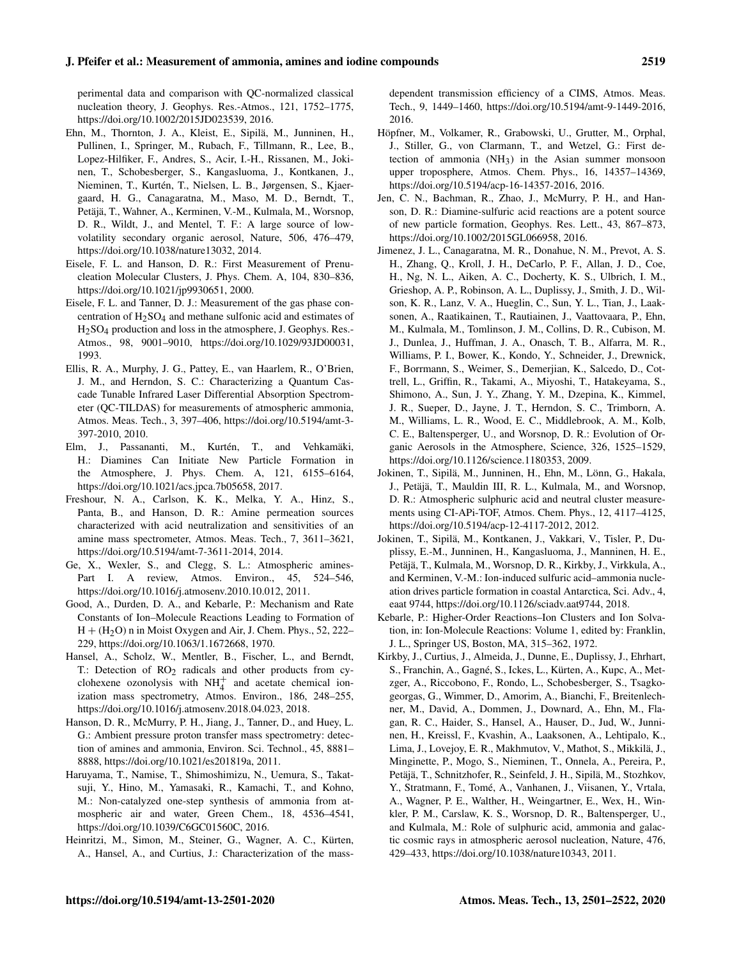#### J. Pfeifer et al.: Measurement of ammonia, amines and iodine compounds 2519

perimental data and comparison with QC-normalized classical nucleation theory, J. Geophys. Res.-Atmos., 121, 1752–1775, https://doi.org[/10.1002/2015JD023539,](https://doi.org/10.1002/2015JD023539) 2016.

- Ehn, M., Thornton, J. A., Kleist, E., Sipilä, M., Junninen, H., Pullinen, I., Springer, M., Rubach, F., Tillmann, R., Lee, B., Lopez-Hilfiker, F., Andres, S., Acir, I.-H., Rissanen, M., Jokinen, T., Schobesberger, S., Kangasluoma, J., Kontkanen, J., Nieminen, T., Kurtén, T., Nielsen, L. B., Jørgensen, S., Kjaergaard, H. G., Canagaratna, M., Maso, M. D., Berndt, T., Petäjä, T., Wahner, A., Kerminen, V.-M., Kulmala, M., Worsnop, D. R., Wildt, J., and Mentel, T. F.: A large source of lowvolatility secondary organic aerosol, Nature, 506, 476–479, https://doi.org[/10.1038/nature13032,](https://doi.org/10.1038/nature13032) 2014.
- Eisele, F. L. and Hanson, D. R.: First Measurement of Prenucleation Molecular Clusters, J. Phys. Chem. A, 104, 830–836, https://doi.org[/10.1021/jp9930651,](https://doi.org/10.1021/jp9930651) 2000.
- Eisele, F. L. and Tanner, D. J.: Measurement of the gas phase concentration of  $H<sub>2</sub>SO<sub>4</sub>$  and methane sulfonic acid and estimates of  $H<sub>2</sub>SO<sub>4</sub>$  production and loss in the atmosphere, J. Geophys. Res.-Atmos., 98, 9001–9010, https://doi.org[/10.1029/93JD00031,](https://doi.org/10.1029/93JD00031) 1993.
- Ellis, R. A., Murphy, J. G., Pattey, E., van Haarlem, R., O'Brien, J. M., and Herndon, S. C.: Characterizing a Quantum Cascade Tunable Infrared Laser Differential Absorption Spectrometer (QC-TILDAS) for measurements of atmospheric ammonia, Atmos. Meas. Tech., 3, 397–406, https://doi.org[/10.5194/amt-3-](https://doi.org/10.5194/amt-3-397-2010) [397-2010,](https://doi.org/10.5194/amt-3-397-2010) 2010.
- Elm, J., Passananti, M., Kurtén, T., and Vehkamäki, H.: Diamines Can Initiate New Particle Formation in the Atmosphere, J. Phys. Chem. A, 121, 6155–6164, https://doi.org[/10.1021/acs.jpca.7b05658,](https://doi.org/10.1021/acs.jpca.7b05658) 2017.
- Freshour, N. A., Carlson, K. K., Melka, Y. A., Hinz, S., Panta, B., and Hanson, D. R.: Amine permeation sources characterized with acid neutralization and sensitivities of an amine mass spectrometer, Atmos. Meas. Tech., 7, 3611–3621, https://doi.org[/10.5194/amt-7-3611-2014,](https://doi.org/10.5194/amt-7-3611-2014) 2014.
- Ge, X., Wexler, S., and Clegg, S. L.: Atmospheric amines-Part I. A review, Atmos. Environ., 45, 524–546, https://doi.org[/10.1016/j.atmosenv.2010.10.012,](https://doi.org/10.1016/j.atmosenv.2010.10.012) 2011.
- Good, A., Durden, D. A., and Kebarle, P.: Mechanism and Rate Constants of Ion–Molecule Reactions Leading to Formation of  $H + (H<sub>2</sub>O)$  n in Moist Oxygen and Air, J. Chem. Phys., 52, 222– 229, https://doi.org[/10.1063/1.1672668,](https://doi.org/10.1063/1.1672668) 1970.
- Hansel, A., Scholz, W., Mentler, B., Fischer, L., and Berndt, T.: Detection of  $RO<sub>2</sub>$  radicals and other products from cyclohexene ozonolysis with  $NH_4^+$  and acetate chemical ionization mass spectrometry, Atmos. Environ., 186, 248–255, https://doi.org[/10.1016/j.atmosenv.2018.04.023,](https://doi.org/10.1016/j.atmosenv.2018.04.023) 2018.
- Hanson, D. R., McMurry, P. H., Jiang, J., Tanner, D., and Huey, L. G.: Ambient pressure proton transfer mass spectrometry: detection of amines and ammonia, Environ. Sci. Technol., 45, 8881– 8888, https://doi.org[/10.1021/es201819a,](https://doi.org/10.1021/es201819a) 2011.
- Haruyama, T., Namise, T., Shimoshimizu, N., Uemura, S., Takatsuji, Y., Hino, M., Yamasaki, R., Kamachi, T., and Kohno, M.: Non-catalyzed one-step synthesis of ammonia from atmospheric air and water, Green Chem., 18, 4536–4541, https://doi.org[/10.1039/C6GC01560C,](https://doi.org/10.1039/C6GC01560C) 2016.
- Heinritzi, M., Simon, M., Steiner, G., Wagner, A. C., Kürten, A., Hansel, A., and Curtius, J.: Characterization of the mass-

dependent transmission efficiency of a CIMS, Atmos. Meas. Tech., 9, 1449–1460, https://doi.org[/10.5194/amt-9-1449-2016,](https://doi.org/10.5194/amt-9-1449-2016) 2016.

- Höpfner, M., Volkamer, R., Grabowski, U., Grutter, M., Orphal, J., Stiller, G., von Clarmann, T., and Wetzel, G.: First detection of ammonia  $(NH_3)$  in the Asian summer monsoon upper troposphere, Atmos. Chem. Phys., 16, 14357–14369, https://doi.org[/10.5194/acp-16-14357-2016,](https://doi.org/10.5194/acp-16-14357-2016) 2016.
- Jen, C. N., Bachman, R., Zhao, J., McMurry, P. H., and Hanson, D. R.: Diamine-sulfuric acid reactions are a potent source of new particle formation, Geophys. Res. Lett., 43, 867–873, https://doi.org[/10.1002/2015GL066958,](https://doi.org/10.1002/2015GL066958) 2016.
- Jimenez, J. L., Canagaratna, M. R., Donahue, N. M., Prevot, A. S. H., Zhang, Q., Kroll, J. H., DeCarlo, P. F., Allan, J. D., Coe, H., Ng, N. L., Aiken, A. C., Docherty, K. S., Ulbrich, I. M., Grieshop, A. P., Robinson, A. L., Duplissy, J., Smith, J. D., Wilson, K. R., Lanz, V. A., Hueglin, C., Sun, Y. L., Tian, J., Laaksonen, A., Raatikainen, T., Rautiainen, J., Vaattovaara, P., Ehn, M., Kulmala, M., Tomlinson, J. M., Collins, D. R., Cubison, M. J., Dunlea, J., Huffman, J. A., Onasch, T. B., Alfarra, M. R., Williams, P. I., Bower, K., Kondo, Y., Schneider, J., Drewnick, F., Borrmann, S., Weimer, S., Demerjian, K., Salcedo, D., Cottrell, L., Griffin, R., Takami, A., Miyoshi, T., Hatakeyama, S., Shimono, A., Sun, J. Y., Zhang, Y. M., Dzepina, K., Kimmel, J. R., Sueper, D., Jayne, J. T., Herndon, S. C., Trimborn, A. M., Williams, L. R., Wood, E. C., Middlebrook, A. M., Kolb, C. E., Baltensperger, U., and Worsnop, D. R.: Evolution of Organic Aerosols in the Atmosphere, Science, 326, 1525–1529, https://doi.org[/10.1126/science.1180353,](https://doi.org/10.1126/science.1180353) 2009.
- Jokinen, T., Sipilä, M., Junninen, H., Ehn, M., Lönn, G., Hakala, J., Petäjä, T., Mauldin III, R. L., Kulmala, M., and Worsnop, D. R.: Atmospheric sulphuric acid and neutral cluster measurements using CI-APi-TOF, Atmos. Chem. Phys., 12, 4117–4125, https://doi.org[/10.5194/acp-12-4117-2012,](https://doi.org/10.5194/acp-12-4117-2012) 2012.
- Jokinen, T., Sipilä, M., Kontkanen, J., Vakkari, V., Tisler, P., Duplissy, E.-M., Junninen, H., Kangasluoma, J., Manninen, H. E., Petäjä, T., Kulmala, M., Worsnop, D. R., Kirkby, J., Virkkula, A., and Kerminen, V.-M.: Ion-induced sulfuric acid–ammonia nucleation drives particle formation in coastal Antarctica, Sci. Adv., 4, eaat 9744, https://doi.org[/10.1126/sciadv.aat9744,](https://doi.org/10.1126/sciadv.aat9744) 2018.
- Kebarle, P.: Higher-Order Reactions–Ion Clusters and Ion Solvation, in: Ion-Molecule Reactions: Volume 1, edited by: Franklin, J. L., Springer US, Boston, MA, 315–362, 1972.
- Kirkby, J., Curtius, J., Almeida, J., Dunne, E., Duplissy, J., Ehrhart, S., Franchin, A., Gagné, S., Ickes, L., Kürten, A., Kupc, A., Metzger, A., Riccobono, F., Rondo, L., Schobesberger, S., Tsagkogeorgas, G., Wimmer, D., Amorim, A., Bianchi, F., Breitenlechner, M., David, A., Dommen, J., Downard, A., Ehn, M., Flagan, R. C., Haider, S., Hansel, A., Hauser, D., Jud, W., Junninen, H., Kreissl, F., Kvashin, A., Laaksonen, A., Lehtipalo, K., Lima, J., Lovejoy, E. R., Makhmutov, V., Mathot, S., Mikkilä, J., Minginette, P., Mogo, S., Nieminen, T., Onnela, A., Pereira, P., Petäjä, T., Schnitzhofer, R., Seinfeld, J. H., Sipilä, M., Stozhkov, Y., Stratmann, F., Tomé, A., Vanhanen, J., Viisanen, Y., Vrtala, A., Wagner, P. E., Walther, H., Weingartner, E., Wex, H., Winkler, P. M., Carslaw, K. S., Worsnop, D. R., Baltensperger, U., and Kulmala, M.: Role of sulphuric acid, ammonia and galactic cosmic rays in atmospheric aerosol nucleation, Nature, 476, 429–433, https://doi.org[/10.1038/nature10343,](https://doi.org/10.1038/nature10343) 2011.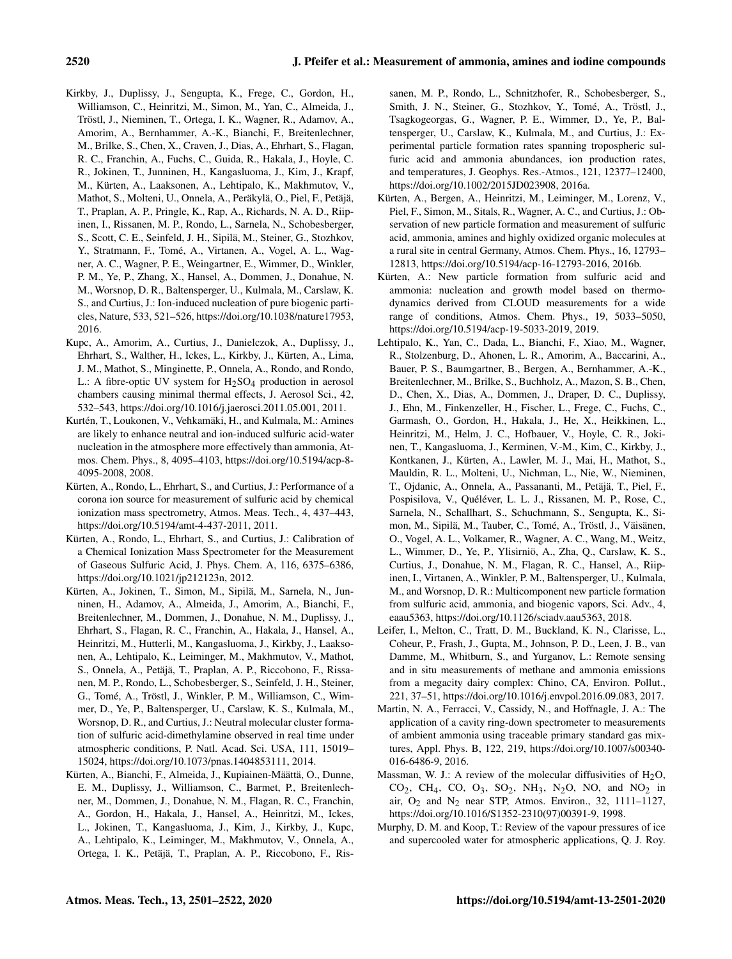- Kirkby, J., Duplissy, J., Sengupta, K., Frege, C., Gordon, H., Williamson, C., Heinritzi, M., Simon, M., Yan, C., Almeida, J., Tröstl, J., Nieminen, T., Ortega, I. K., Wagner, R., Adamov, A., Amorim, A., Bernhammer, A.-K., Bianchi, F., Breitenlechner, M., Brilke, S., Chen, X., Craven, J., Dias, A., Ehrhart, S., Flagan, R. C., Franchin, A., Fuchs, C., Guida, R., Hakala, J., Hoyle, C. R., Jokinen, T., Junninen, H., Kangasluoma, J., Kim, J., Krapf, M., Kürten, A., Laaksonen, A., Lehtipalo, K., Makhmutov, V., Mathot, S., Molteni, U., Onnela, A., Peräkylä, O., Piel, F., Petäjä, T., Praplan, A. P., Pringle, K., Rap, A., Richards, N. A. D., Riipinen, I., Rissanen, M. P., Rondo, L., Sarnela, N., Schobesberger, S., Scott, C. E., Seinfeld, J. H., Sipilä, M., Steiner, G., Stozhkov, Y., Stratmann, F., Tomé, A., Virtanen, A., Vogel, A. L., Wagner, A. C., Wagner, P. E., Weingartner, E., Wimmer, D., Winkler, P. M., Ye, P., Zhang, X., Hansel, A., Dommen, J., Donahue, N. M., Worsnop, D. R., Baltensperger, U., Kulmala, M., Carslaw, K. S., and Curtius, J.: Ion-induced nucleation of pure biogenic particles, Nature, 533, 521–526, https://doi.org[/10.1038/nature17953,](https://doi.org/10.1038/nature17953) 2016.
- Kupc, A., Amorim, A., Curtius, J., Danielczok, A., Duplissy, J., Ehrhart, S., Walther, H., Ickes, L., Kirkby, J., Kürten, A., Lima, J. M., Mathot, S., Minginette, P., Onnela, A., Rondo, and Rondo, L.: A fibre-optic UV system for  $H_2SO_4$  production in aerosol chambers causing minimal thermal effects, J. Aerosol Sci., 42, 532–543, https://doi.org[/10.1016/j.jaerosci.2011.05.001,](https://doi.org/10.1016/j.jaerosci.2011.05.001) 2011.
- Kurtén, T., Loukonen, V., Vehkamäki, H., and Kulmala, M.: Amines are likely to enhance neutral and ion-induced sulfuric acid-water nucleation in the atmosphere more effectively than ammonia, Atmos. Chem. Phys., 8, 4095–4103, https://doi.org[/10.5194/acp-8-](https://doi.org/10.5194/acp-8-4095-2008) [4095-2008,](https://doi.org/10.5194/acp-8-4095-2008) 2008.
- Kürten, A., Rondo, L., Ehrhart, S., and Curtius, J.: Performance of a corona ion source for measurement of sulfuric acid by chemical ionization mass spectrometry, Atmos. Meas. Tech., 4, 437–443, https://doi.org[/10.5194/amt-4-437-2011,](https://doi.org/10.5194/amt-4-437-2011) 2011.
- Kürten, A., Rondo, L., Ehrhart, S., and Curtius, J.: Calibration of a Chemical Ionization Mass Spectrometer for the Measurement of Gaseous Sulfuric Acid, J. Phys. Chem. A, 116, 6375–6386, https://doi.org[/10.1021/jp212123n,](https://doi.org/10.1021/jp212123n) 2012.
- Kürten, A., Jokinen, T., Simon, M., Sipilä, M., Sarnela, N., Junninen, H., Adamov, A., Almeida, J., Amorim, A., Bianchi, F., Breitenlechner, M., Dommen, J., Donahue, N. M., Duplissy, J., Ehrhart, S., Flagan, R. C., Franchin, A., Hakala, J., Hansel, A., Heinritzi, M., Hutterli, M., Kangasluoma, J., Kirkby, J., Laaksonen, A., Lehtipalo, K., Leiminger, M., Makhmutov, V., Mathot, S., Onnela, A., Petäjä, T., Praplan, A. P., Riccobono, F., Rissanen, M. P., Rondo, L., Schobesberger, S., Seinfeld, J. H., Steiner, G., Tomé, A., Tröstl, J., Winkler, P. M., Williamson, C., Wimmer, D., Ye, P., Baltensperger, U., Carslaw, K. S., Kulmala, M., Worsnop, D. R., and Curtius, J.: Neutral molecular cluster formation of sulfuric acid-dimethylamine observed in real time under atmospheric conditions, P. Natl. Acad. Sci. USA, 111, 15019– 15024, https://doi.org[/10.1073/pnas.1404853111,](https://doi.org/10.1073/pnas.1404853111) 2014.
- Kürten, A., Bianchi, F., Almeida, J., Kupiainen-Määttä, O., Dunne, E. M., Duplissy, J., Williamson, C., Barmet, P., Breitenlechner, M., Dommen, J., Donahue, N. M., Flagan, R. C., Franchin, A., Gordon, H., Hakala, J., Hansel, A., Heinritzi, M., Ickes, L., Jokinen, T., Kangasluoma, J., Kim, J., Kirkby, J., Kupc, A., Lehtipalo, K., Leiminger, M., Makhmutov, V., Onnela, A., Ortega, I. K., Petäjä, T., Praplan, A. P., Riccobono, F., Ris-

sanen, M. P., Rondo, L., Schnitzhofer, R., Schobesberger, S., Smith, J. N., Steiner, G., Stozhkov, Y., Tomé, A., Tröstl, J., Tsagkogeorgas, G., Wagner, P. E., Wimmer, D., Ye, P., Baltensperger, U., Carslaw, K., Kulmala, M., and Curtius, J.: Experimental particle formation rates spanning tropospheric sulfuric acid and ammonia abundances, ion production rates, and temperatures, J. Geophys. Res.-Atmos., 121, 12377–12400, https://doi.org[/10.1002/2015JD023908,](https://doi.org/10.1002/2015JD023908) 2016a.

- Kürten, A., Bergen, A., Heinritzi, M., Leiminger, M., Lorenz, V., Piel, F., Simon, M., Sitals, R., Wagner, A. C., and Curtius, J.: Observation of new particle formation and measurement of sulfuric acid, ammonia, amines and highly oxidized organic molecules at a rural site in central Germany, Atmos. Chem. Phys., 16, 12793– 12813, https://doi.org[/10.5194/acp-16-12793-2016,](https://doi.org/10.5194/acp-16-12793-2016) 2016b.
- Kürten, A.: New particle formation from sulfuric acid and ammonia: nucleation and growth model based on thermodynamics derived from CLOUD measurements for a wide range of conditions, Atmos. Chem. Phys., 19, 5033–5050, https://doi.org[/10.5194/acp-19-5033-2019,](https://doi.org/10.5194/acp-19-5033-2019) 2019.
- Lehtipalo, K., Yan, C., Dada, L., Bianchi, F., Xiao, M., Wagner, R., Stolzenburg, D., Ahonen, L. R., Amorim, A., Baccarini, A., Bauer, P. S., Baumgartner, B., Bergen, A., Bernhammer, A.-K., Breitenlechner, M., Brilke, S., Buchholz, A., Mazon, S. B., Chen, D., Chen, X., Dias, A., Dommen, J., Draper, D. C., Duplissy, J., Ehn, M., Finkenzeller, H., Fischer, L., Frege, C., Fuchs, C., Garmash, O., Gordon, H., Hakala, J., He, X., Heikkinen, L., Heinritzi, M., Helm, J. C., Hofbauer, V., Hoyle, C. R., Jokinen, T., Kangasluoma, J., Kerminen, V.-M., Kim, C., Kirkby, J., Kontkanen, J., Kürten, A., Lawler, M. J., Mai, H., Mathot, S., Mauldin, R. L., Molteni, U., Nichman, L., Nie, W., Nieminen, T., Ojdanic, A., Onnela, A., Passananti, M., Petäjä, T., Piel, F., Pospisilova, V., Quéléver, L. L. J., Rissanen, M. P., Rose, C., Sarnela, N., Schallhart, S., Schuchmann, S., Sengupta, K., Simon, M., Sipilä, M., Tauber, C., Tomé, A., Tröstl, J., Väisänen, O., Vogel, A. L., Volkamer, R., Wagner, A. C., Wang, M., Weitz, L., Wimmer, D., Ye, P., Ylisirniö, A., Zha, Q., Carslaw, K. S., Curtius, J., Donahue, N. M., Flagan, R. C., Hansel, A., Riipinen, I., Virtanen, A., Winkler, P. M., Baltensperger, U., Kulmala, M., and Worsnop, D. R.: Multicomponent new particle formation from sulfuric acid, ammonia, and biogenic vapors, Sci. Adv., 4, eaau5363, https://doi.org[/10.1126/sciadv.aau5363,](https://doi.org/10.1126/sciadv.aau5363) 2018.
- Leifer, I., Melton, C., Tratt, D. M., Buckland, K. N., Clarisse, L., Coheur, P., Frash, J., Gupta, M., Johnson, P. D., Leen, J. B., van Damme, M., Whitburn, S., and Yurganov, L.: Remote sensing and in situ measurements of methane and ammonia emissions from a megacity dairy complex: Chino, CA, Environ. Pollut., 221, 37–51, https://doi.org[/10.1016/j.envpol.2016.09.083,](https://doi.org/10.1016/j.envpol.2016.09.083) 2017.
- Martin, N. A., Ferracci, V., Cassidy, N., and Hoffnagle, J. A.: The application of a cavity ring-down spectrometer to measurements of ambient ammonia using traceable primary standard gas mixtures, Appl. Phys. B, 122, 219, https://doi.org[/10.1007/s00340-](https://doi.org/10.1007/s00340-016-6486-9) [016-6486-9,](https://doi.org/10.1007/s00340-016-6486-9) 2016.
- Massman, W. J.: A review of the molecular diffusivities of  $H_2O$ ,  $CO_2$ , CH<sub>4</sub>, CO, O<sub>3</sub>, SO<sub>2</sub>, NH<sub>3</sub>, N<sub>2</sub>O, NO, and NO<sub>2</sub> in air,  $O_2$  and  $N_2$  near STP, Atmos. Environ., 32, 1111–1127, https://doi.org[/10.1016/S1352-2310\(97\)00391-9,](https://doi.org/10.1016/S1352-2310(97)00391-9) 1998.
- Murphy, D. M. and Koop, T.: Review of the vapour pressures of ice and supercooled water for atmospheric applications, Q. J. Roy.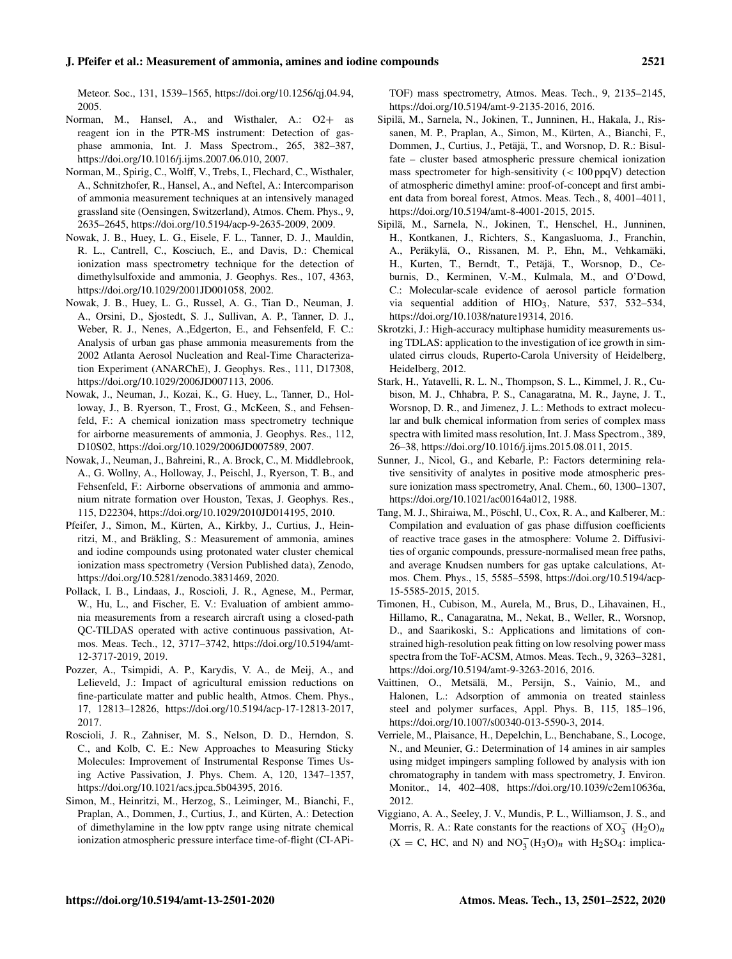#### J. Pfeifer et al.: Measurement of ammonia, amines and iodine compounds 2521

Meteor. Soc., 131, 1539–1565, https://doi.org[/10.1256/qj.04.94,](https://doi.org/10.1256/qj.04.94) 2005.

- Norman, M., Hansel, A., and Wisthaler, A.: O2+ as reagent ion in the PTR-MS instrument: Detection of gasphase ammonia, Int. J. Mass Spectrom., 265, 382–387, https://doi.org[/10.1016/j.ijms.2007.06.010,](https://doi.org/10.1016/j.ijms.2007.06.010) 2007.
- Norman, M., Spirig, C., Wolff, V., Trebs, I., Flechard, C., Wisthaler, A., Schnitzhofer, R., Hansel, A., and Neftel, A.: Intercomparison of ammonia measurement techniques at an intensively managed grassland site (Oensingen, Switzerland), Atmos. Chem. Phys., 9, 2635–2645, https://doi.org[/10.5194/acp-9-2635-2009,](https://doi.org/10.5194/acp-9-2635-2009) 2009.
- Nowak, J. B., Huey, L. G., Eisele, F. L., Tanner, D. J., Mauldin, R. L., Cantrell, C., Kosciuch, E., and Davis, D.: Chemical ionization mass spectrometry technique for the detection of dimethylsulfoxide and ammonia, J. Geophys. Res., 107, 4363, https://doi.org[/10.1029/2001JD001058,](https://doi.org/10.1029/2001JD001058) 2002.
- Nowak, J. B., Huey, L. G., Russel, A. G., Tian D., Neuman, J. A., Orsini, D., Sjostedt, S. J., Sullivan, A. P., Tanner, D. J., Weber, R. J., Nenes, A.,Edgerton, E., and Fehsenfeld, F. C.: Analysis of urban gas phase ammonia measurements from the 2002 Atlanta Aerosol Nucleation and Real-Time Characterization Experiment (ANARChE), J. Geophys. Res., 111, D17308, https://doi.org[/10.1029/2006JD007113,](https://doi.org/10.1029/2006JD007113) 2006.
- Nowak, J., Neuman, J., Kozai, K., G. Huey, L., Tanner, D., Holloway, J., B. Ryerson, T., Frost, G., McKeen, S., and Fehsenfeld, F.: A chemical ionization mass spectrometry technique for airborne measurements of ammonia, J. Geophys. Res., 112, D10S02, https://doi.org[/10.1029/2006JD007589,](https://doi.org/10.1029/2006JD007589) 2007.
- Nowak, J., Neuman, J., Bahreini, R., A. Brock, C., M. Middlebrook, A., G. Wollny, A., Holloway, J., Peischl, J., Ryerson, T. B., and Fehsenfeld, F.: Airborne observations of ammonia and ammonium nitrate formation over Houston, Texas, J. Geophys. Res., 115, D22304, https://doi.org[/10.1029/2010JD014195,](https://doi.org/10.1029/2010JD014195) 2010.
- Pfeifer, J., Simon, M., Kürten, A., Kirkby, J., Curtius, J., Heinritzi, M., and Bräkling, S.: Measurement of ammonia, amines and iodine compounds using protonated water cluster chemical ionization mass spectrometry (Version Published data), Zenodo, https://doi.org[/10.5281/zenodo.3831469,](https://doi.org/10.5281/zenodo.3831469) 2020.
- Pollack, I. B., Lindaas, J., Roscioli, J. R., Agnese, M., Permar, W., Hu, L., and Fischer, E. V.: Evaluation of ambient ammonia measurements from a research aircraft using a closed-path QC-TILDAS operated with active continuous passivation, Atmos. Meas. Tech., 12, 3717–3742, https://doi.org[/10.5194/amt-](https://doi.org/10.5194/amt-12-3717-2019)[12-3717-2019,](https://doi.org/10.5194/amt-12-3717-2019) 2019.
- Pozzer, A., Tsimpidi, A. P., Karydis, V. A., de Meij, A., and Lelieveld, J.: Impact of agricultural emission reductions on fine-particulate matter and public health, Atmos. Chem. Phys., 17, 12813–12826, https://doi.org[/10.5194/acp-17-12813-2017,](https://doi.org/10.5194/acp-17-12813-2017) 2017.
- Roscioli, J. R., Zahniser, M. S., Nelson, D. D., Herndon, S. C., and Kolb, C. E.: New Approaches to Measuring Sticky Molecules: Improvement of Instrumental Response Times Using Active Passivation, J. Phys. Chem. A, 120, 1347–1357, https://doi.org[/10.1021/acs.jpca.5b04395,](https://doi.org/10.1021/acs.jpca.5b04395) 2016.
- Simon, M., Heinritzi, M., Herzog, S., Leiminger, M., Bianchi, F., Praplan, A., Dommen, J., Curtius, J., and Kürten, A.: Detection of dimethylamine in the low pptv range using nitrate chemical ionization atmospheric pressure interface time-of-flight (CI-APi-

TOF) mass spectrometry, Atmos. Meas. Tech., 9, 2135–2145, https://doi.org[/10.5194/amt-9-2135-2016,](https://doi.org/10.5194/amt-9-2135-2016) 2016.

- Sipilä, M., Sarnela, N., Jokinen, T., Junninen, H., Hakala, J., Rissanen, M. P., Praplan, A., Simon, M., Kürten, A., Bianchi, F., Dommen, J., Curtius, J., Petäjä, T., and Worsnop, D. R.: Bisulfate – cluster based atmospheric pressure chemical ionization mass spectrometer for high-sensitivity  $(< 100 \text{ ppqV})$  detection of atmospheric dimethyl amine: proof-of-concept and first ambient data from boreal forest, Atmos. Meas. Tech., 8, 4001–4011, https://doi.org[/10.5194/amt-8-4001-2015,](https://doi.org/10.5194/amt-8-4001-2015) 2015.
- Sipilä, M., Sarnela, N., Jokinen, T., Henschel, H., Junninen, H., Kontkanen, J., Richters, S., Kangasluoma, J., Franchin, A., Peräkylä, O., Rissanen, M. P., Ehn, M., Vehkamäki, H., Kurten, T., Berndt, T., Petäjä, T., Worsnop, D., Ceburnis, D., Kerminen, V.-M., Kulmala, M., and O'Dowd, C.: Molecular-scale evidence of aerosol particle formation via sequential addition of  $HIO<sub>3</sub>$ , Nature, 537, 532–534, https://doi.org[/10.1038/nature19314,](https://doi.org/10.1038/nature19314) 2016.
- Skrotzki, J.: High-accuracy multiphase humidity measurements using TDLAS: application to the investigation of ice growth in simulated cirrus clouds, Ruperto-Carola University of Heidelberg, Heidelberg, 2012.
- Stark, H., Yatavelli, R. L. N., Thompson, S. L., Kimmel, J. R., Cubison, M. J., Chhabra, P. S., Canagaratna, M. R., Jayne, J. T., Worsnop, D. R., and Jimenez, J. L.: Methods to extract molecular and bulk chemical information from series of complex mass spectra with limited mass resolution, Int. J. Mass Spectrom., 389, 26–38, https://doi.org[/10.1016/j.ijms.2015.08.011,](https://doi.org/10.1016/j.ijms.2015.08.011) 2015.
- Sunner, J., Nicol, G., and Kebarle, P.: Factors determining relative sensitivity of analytes in positive mode atmospheric pressure ionization mass spectrometry, Anal. Chem., 60, 1300–1307, https://doi.org[/10.1021/ac00164a012,](https://doi.org/10.1021/ac00164a012) 1988.
- Tang, M. J., Shiraiwa, M., Pöschl, U., Cox, R. A., and Kalberer, M.: Compilation and evaluation of gas phase diffusion coefficients of reactive trace gases in the atmosphere: Volume 2. Diffusivities of organic compounds, pressure-normalised mean free paths, and average Knudsen numbers for gas uptake calculations, Atmos. Chem. Phys., 15, 5585–5598, https://doi.org[/10.5194/acp-](https://doi.org/10.5194/acp-15-5585-2015)[15-5585-2015,](https://doi.org/10.5194/acp-15-5585-2015) 2015.
- Timonen, H., Cubison, M., Aurela, M., Brus, D., Lihavainen, H., Hillamo, R., Canagaratna, M., Nekat, B., Weller, R., Worsnop, D., and Saarikoski, S.: Applications and limitations of constrained high-resolution peak fitting on low resolving power mass spectra from the ToF-ACSM, Atmos. Meas. Tech., 9, 3263–3281, https://doi.org[/10.5194/amt-9-3263-2016,](https://doi.org/10.5194/amt-9-3263-2016) 2016.
- Vaittinen, O., Metsälä, M., Persijn, S., Vainio, M., and Halonen, L.: Adsorption of ammonia on treated stainless steel and polymer surfaces, Appl. Phys. B, 115, 185–196, https://doi.org[/10.1007/s00340-013-5590-3,](https://doi.org/10.1007/s00340-013-5590-3) 2014.
- Verriele, M., Plaisance, H., Depelchin, L., Benchabane, S., Locoge, N., and Meunier, G.: Determination of 14 amines in air samples using midget impingers sampling followed by analysis with ion chromatography in tandem with mass spectrometry, J. Environ. Monitor., 14, 402–408, https://doi.org[/10.1039/c2em10636a,](https://doi.org/10.1039/c2em10636a) 2012.
- Viggiano, A. A., Seeley, J. V., Mundis, P. L., Williamson, J. S., and Morris, R. A.: Rate constants for the reactions of  $XO_3^ (H_2O)_n$  $(X = C, HC, and N)$  and  $NO_3^- (H_3O)<sub>n</sub>$  with  $H_2SO_4$ : implica-